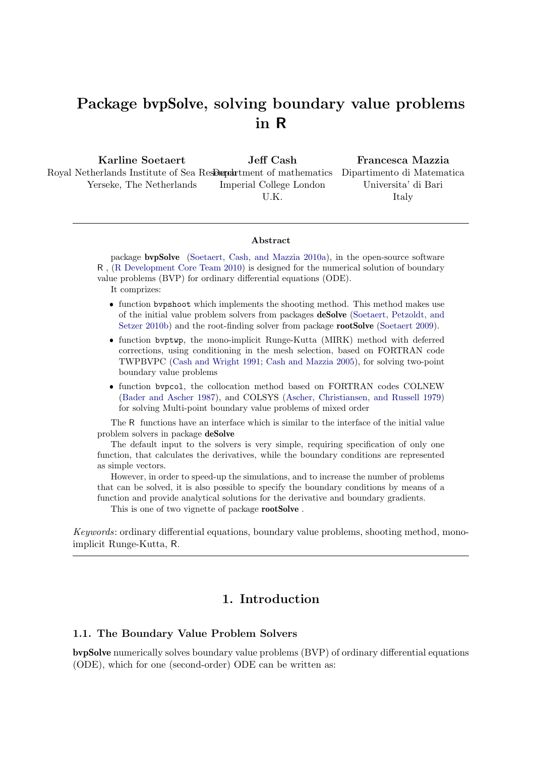# Package bvpSolve, solving boundary value problems in R

Karline Soetaert Royal Netherlands Institute of Sea ResDepartment of mathematics Dipartimento di Matematica Yerseke, The Netherlands Jeff Cash Imperial College London U.K. Francesca Mazzia Universita' di Bari Italy

#### Abstract

package bvpSolve [\(Soetaert, Cash, and Mazzia 2010a\)](#page-44-0), in the open-source software R , [\(R Development Core Team 2010\)](#page-44-1) is designed for the numerical solution of boundary value problems (BVP) for ordinary differential equations (ODE).

It comprizes:

- ❼ function bvpshoot which implements the shooting method. This method makes use of the initial value problem solvers from packages deSolve [\(Soetaert, Petzoldt, and](#page-44-2) [Setzer 2010b\)](#page-44-2) and the root-finding solver from package **rootSolve** [\(Soetaert 2009\)](#page-44-3).
- ❼ function bvptwp, the mono-implicit Runge-Kutta (MIRK) method with deferred corrections, using conditioning in the mesh selection, based on FORTRAN code TWPBVPC [\(Cash and Wright 1991;](#page-44-4) [Cash and Mazzia 2005\)](#page-44-5), for solving two-point boundary value problems
- ❼ function bvpcol, the collocation method based on FORTRAN codes COLNEW [\(Bader and Ascher 1987\)](#page-44-6), and COLSYS [\(Ascher, Christiansen, and Russell 1979\)](#page-44-7) for solving Multi-point boundary value problems of mixed order

The R functions have an interface which is similar to the interface of the initial value problem solvers in package deSolve

The default input to the solvers is very simple, requiring specification of only one function, that calculates the derivatives, while the boundary conditions are represented as simple vectors.

However, in order to speed-up the simulations, and to increase the number of problems that can be solved, it is also possible to specify the boundary conditions by means of a function and provide analytical solutions for the derivative and boundary gradients.

This is one of two vignette of package **rootSolve**.

Keywords: ordinary differential equations, boundary value problems, shooting method, monoimplicit Runge-Kutta, R.

### 1. Introduction

#### 1.1. The Boundary Value Problem Solvers

bvpSolve numerically solves boundary value problems (BVP) of ordinary differential equations (ODE), which for one (second-order) ODE can be written as: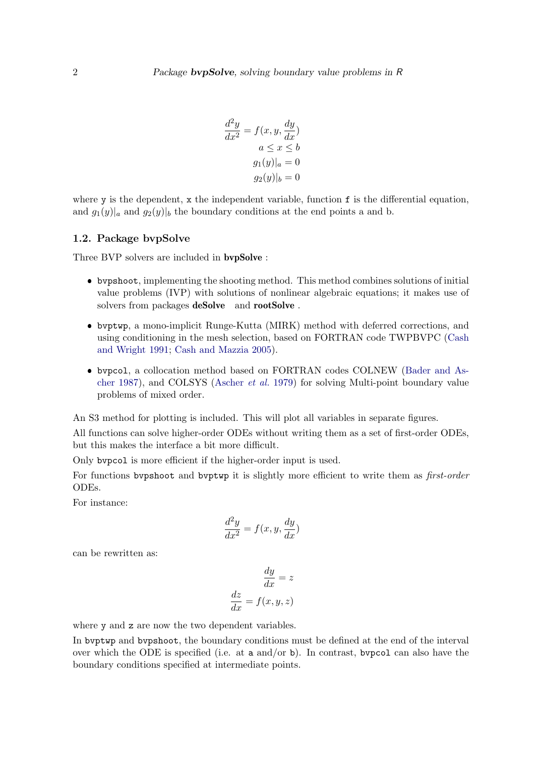$$
\frac{d^2y}{dx^2} = f(x, y, \frac{dy}{dx})
$$

$$
a \le x \le b
$$

$$
g_1(y)|_a = 0
$$

$$
g_2(y)|_b = 0
$$

 $\Omega$ 

where  $y$  is the dependent,  $x$  the independent variable, function  $f$  is the differential equation, and  $g_1(y)|_a$  and  $g_2(y)|_b$  the boundary conditions at the end points a and b.

#### 1.2. Package bvpSolve

Three BVP solvers are included in bvpSolve :

- ❼ bvpshoot, implementing the shooting method. This method combines solutions of initial value problems (IVP) with solutions of nonlinear algebraic equations; it makes use of solvers from packages **deSolve** and **rootSolve**.
- ❼ bvptwp, a mono-implicit Runge-Kutta (MIRK) method with deferred corrections, and using conditioning in the mesh selection, based on FORTRAN code TWPBVPC [\(Cash](#page-44-4) [and Wright 1991;](#page-44-4) [Cash and Mazzia 2005\)](#page-44-5).
- ❼ bvpcol, a collocation method based on FORTRAN codes COLNEW [\(Bader and As](#page-44-6)[cher 1987\)](#page-44-6), and COLSYS [\(Ascher](#page-44-7) et al. [1979\)](#page-44-7) for solving Multi-point boundary value problems of mixed order.

An S3 method for plotting is included. This will plot all variables in separate figures.

All functions can solve higher-order ODEs without writing them as a set of first-order ODEs, but this makes the interface a bit more difficult.

Only bvpcol is more efficient if the higher-order input is used.

For functions by pshoot and by ptwp it is slightly more efficient to write them as *first-order* ODEs.

For instance:

$$
\frac{d^2y}{dx^2} = f(x, y, \frac{dy}{dx})
$$

can be rewritten as:

$$
\frac{dy}{dx} = z
$$

$$
\frac{dz}{dx} = f(x, y, z)
$$

where y and z are now the two dependent variables.

In bvptwp and bvpshoot, the boundary conditions must be defined at the end of the interval over which the ODE is specified (i.e. at a and/or b). In contrast, bypcol can also have the boundary conditions specified at intermediate points.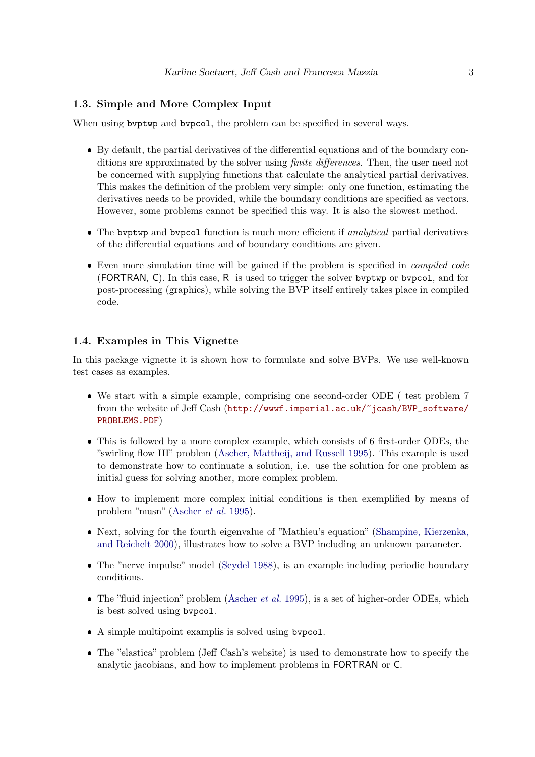#### 1.3. Simple and More Complex Input

When using by ptwp and bypcol, the problem can be specified in several ways.

- ❼ By default, the partial derivatives of the differential equations and of the boundary conditions are approximated by the solver using *finite differences*. Then, the user need not be concerned with supplying functions that calculate the analytical partial derivatives. This makes the definition of the problem very simple: only one function, estimating the derivatives needs to be provided, while the boundary conditions are specified as vectors. However, some problems cannot be specified this way. It is also the slowest method.
- The bvptwp and bvpcol function is much more efficient if *analytical* partial derivatives of the differential equations and of boundary conditions are given.
- Even more simulation time will be gained if the problem is specified in *compiled code* (FORTRAN, C). In this case, R is used to trigger the solver bvptwp or bvpcol, and for post-processing (graphics), while solving the BVP itself entirely takes place in compiled code.

### 1.4. Examples in This Vignette

In this package vignette it is shown how to formulate and solve BVPs. We use well-known test cases as examples.

- ❼ We start with a simple example, comprising one second-order ODE ( test problem 7 from the website of Jeff Cash ([http://wwwf.imperial.ac.uk/~jcash/BVP\\_software/](http://wwwf.imperial.ac.uk/~jcash/BVP_software/PROBLEMS.PDF) [PROBLEMS.PDF](http://wwwf.imperial.ac.uk/~jcash/BVP_software/PROBLEMS.PDF))
- ❼ This is followed by a more complex example, which consists of 6 first-order ODEs, the "swirling flow III" problem [\(Ascher, Mattheij, and Russell 1995\)](#page-44-8). This example is used to demonstrate how to continuate a solution, i.e. use the solution for one problem as initial guess for solving another, more complex problem.
- ❼ How to implement more complex initial conditions is then exemplified by means of problem "musn" [\(Ascher](#page-44-8) et al. [1995\)](#page-44-8).
- ❼ Next, solving for the fourth eigenvalue of "Mathieu's equation" [\(Shampine, Kierzenka,](#page-44-9) [and Reichelt 2000\)](#page-44-9), illustrates how to solve a BVP including an unknown parameter.
- ❼ The "nerve impulse" model [\(Seydel 1988\)](#page-44-10), is an example including periodic boundary conditions.
- The "fluid injection" problem [\(Ascher](#page-44-8) et al. [1995\)](#page-44-8), is a set of higher-order ODEs, which is best solved using bvpcol.
- ❼ A simple multipoint examplis is solved using bvpcol.
- The "elastica" problem (Jeff Cash's website) is used to demonstrate how to specify the analytic jacobians, and how to implement problems in FORTRAN or C.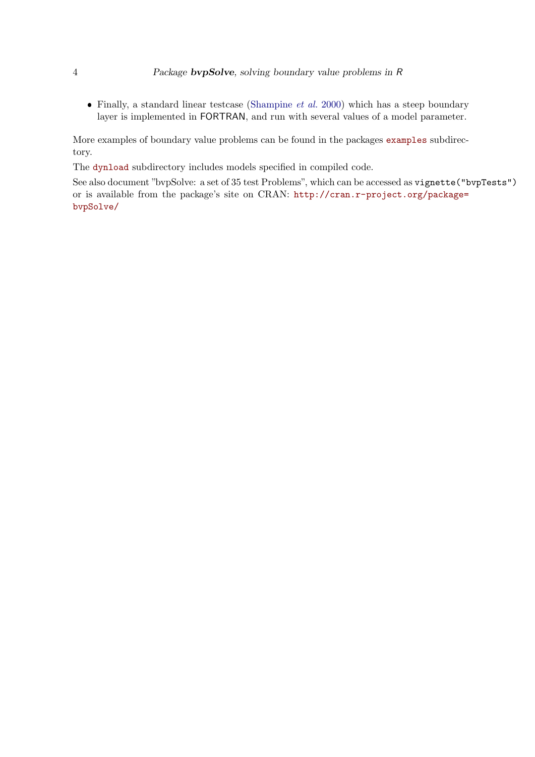• Finally, a standard linear testcase [\(Shampine](#page-44-9)  $et$  al. [2000\)](#page-44-9) which has a steep boundary layer is implemented in FORTRAN, and run with several values of a model parameter.

More examples of boundary value problems can be found in the packages <examples> subdirectory.

The <dynload> subdirectory includes models specified in compiled code.

See also document "bvpSolve: a set of 35 test Problems", which can be accessed as vignette("bvpTests") or is available from the package's site on CRAN: [http://cran.r-project.org/package=](http://cran.r-project.org/package=bvpSolve/) [bvpSolve/](http://cran.r-project.org/package=bvpSolve/)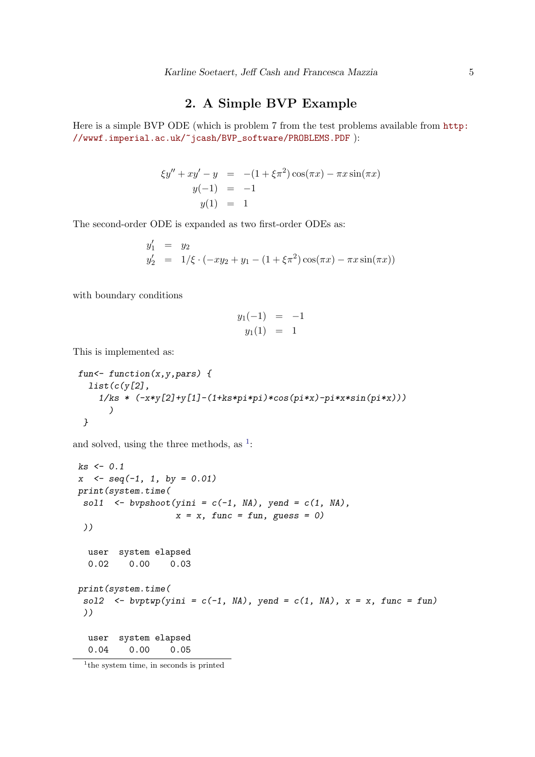### 2. A Simple BVP Example

Here is a simple BVP ODE (which is problem 7 from the test problems available from [http:](http://wwwf.imperial.ac.uk/~jcash/BVP_software/PROBLEMS.PDF) [//wwwf.imperial.ac.uk/~jcash/BVP\\_software/PROBLEMS.PDF](http://wwwf.imperial.ac.uk/~jcash/BVP_software/PROBLEMS.PDF) ):

$$
\xi y'' + xy' - y = -(1 + \xi \pi^2) \cos(\pi x) - \pi x \sin(\pi x)
$$
  
y(-1) = -1  
y(1) = 1

The second-order ODE is expanded as two first-order ODEs as:

$$
y'_1 = y_2
$$
  
\n
$$
y'_2 = 1/\xi \cdot (-xy_2 + y_1 - (1 + \xi \pi^2) \cos(\pi x) - \pi x \sin(\pi x))
$$

with boundary conditions

$$
y_1(-1) = -1
$$
  

$$
y_1(1) = 1
$$

This is implemented as:

```
fun<- function(x,y,pars) {
  list(c(y[2],
    1/ks * (-x*y[2]+y[1]-(1+ks*pi*pi)*cos(pi*x)-pi*x*sin(pi*x)))
      )
 }
```
and solved, using the three methods, as  $\frac{1}{1}$  $\frac{1}{1}$  $\frac{1}{1}$ :

```
ks <- 0.1
x <- seq(-1, 1, by = 0.01)
print(system.time(
 sol1 \leq bvpshoot(yini = c(-1, NA), yend = c(1, NA),x = x, func = fun, guess = 0)
 ))
  user system elapsed
 0.02 0.00 0.03
print(system.time(
 sol2 \leq -bvptwp(yini = c(-1, NA), yend = c(1, NA), x = x, func = fun)
 ))
 user system elapsed
 0.04 0.00 0.05
```
<span id="page-4-0"></span><sup>&</sup>lt;sup>1</sup>the system time, in seconds is printed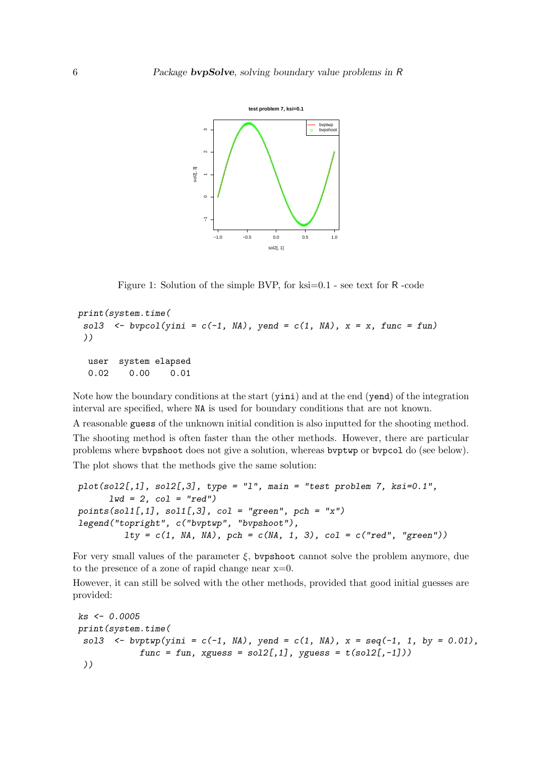

Figure 1: Solution of the simple BVP, for ksi=0.1 - see text for R-code

```
print(system.time(
 sol3 \leq bvpcol(yini = c(-1, NA), yend = c(1, NA), x = x, func = fun)
 ))
  user system elapsed
  0.02 0.00 0.01
```
Note how the boundary conditions at the start (yini) and at the end (yend) of the integration interval are specified, where NA is used for boundary conditions that are not known.

A reasonable guess of the unknown initial condition is also inputted for the shooting method. The shooting method is often faster than the other methods. However, there are particular problems where bvpshoot does not give a solution, whereas bvptwp or bvpcol do (see below). The plot shows that the methods give the same solution:

```
plot(sol2[,1], sol2[,3], type = "l", main = "test problem 7, ksi=0.1",
      lwd = 2, col = "red")
points(sol1[,1], sol1[,3], col = "green", pch = "x")
legend("topright", c("bvptwp", "bvpshoot"),
         lty = c(1, NA, NA), pch = c(NA, 1, 3), col = c("red", "green"))
```
For very small values of the parameter  $\xi$ , bypshoot cannot solve the problem anymore, due to the presence of a zone of rapid change near x=0.

However, it can still be solved with the other methods, provided that good initial guesses are provided:

```
ks <- 0.0005
print(system.time(
 sol3 <- bvptwp(yini = c(-1, NA), yend = c(1, NA), x = seq(-1, 1, by = 0.01),
            func = fun, xguess = sol2[, 1], yguess = t(sol2[, -1]))))
```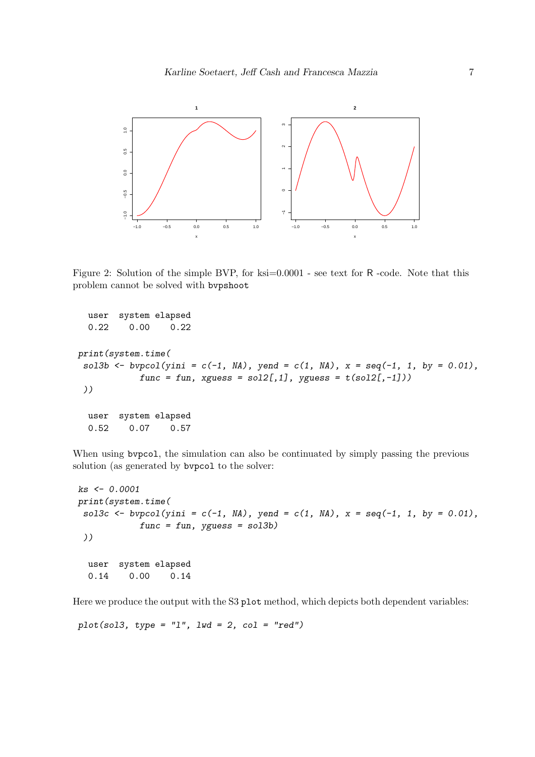

Figure 2: Solution of the simple BVP, for ksi=0.0001 - see text for R-code. Note that this problem cannot be solved with bvpshoot

```
user system elapsed
  0.22 0.00 0.22
print(system.time(
 sol3b <- bvpcol(yini = c(-1, NA), yend = c(1, NA), x = seq(-1, 1, by = 0.01),
           func = fun, xguess = sol2[, 1], yguess = t(sol2[, -1]))))
  user system elapsed
  0.52 0.07 0.57
```
When using bypcol, the simulation can also be continuated by simply passing the previous solution (as generated by bvpcol to the solver:

```
ks <- 0.0001
print(system.time(
 sol3c <- bvpcol(yini = c(-1, NA), yend = c(1, NA), x = seq(-1, 1, by = 0.01),
           func = fun, yguess = sol3b)
 ))
  user system elapsed
  0.14 0.00 0.14
```
Here we produce the output with the S3 plot method, which depicts both dependent variables:

*plot(sol3, type = "l", lwd = 2, col = "red")*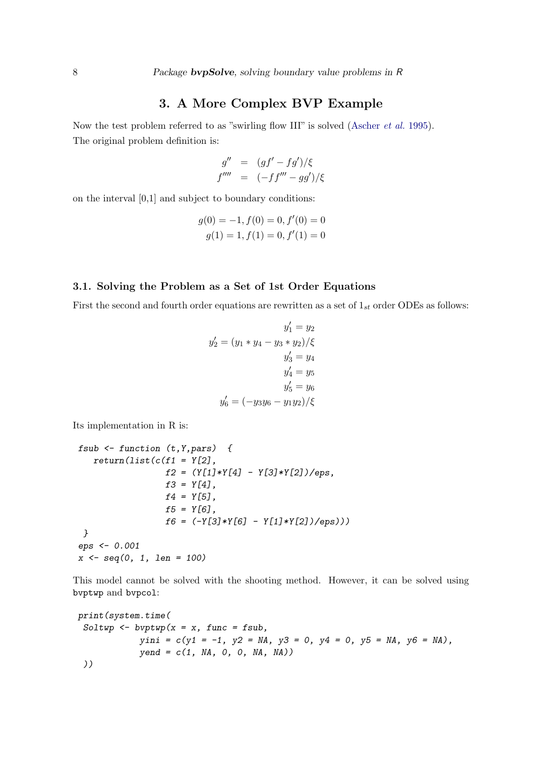### 3. A More Complex BVP Example

Now the test problem referred to as "swirling flow III" is solved [\(Ascher](#page-44-8) *et al.* [1995\)](#page-44-8). The original problem definition is:

$$
g'' = (gf' - fg')/\xi
$$
  

$$
f'''' = (-ff''' - gg')/\xi
$$

on the interval [0,1] and subject to boundary conditions:

$$
g(0) = -1, f(0) = 0, f'(0) = 0
$$
  

$$
g(1) = 1, f(1) = 0, f'(1) = 0
$$

#### 3.1. Solving the Problem as a Set of 1st Order Equations

First the second and fourth order equations are rewritten as a set of  $1_{st}$  order ODEs as follows:

$$
y'_1 = y_2
$$
  

$$
y'_2 = (y_1 * y_4 - y_3 * y_2)/\xi
$$
  

$$
y'_3 = y_4
$$
  

$$
y'_4 = y_5
$$
  

$$
y'_5 = y_6
$$
  

$$
y'_6 = (-y_3y_6 - y_1y_2)/\xi
$$

Its implementation in R is:

```
fsub <- function (t,Y,pars) {
   return(list(c(f1 = Y[2],
                 f2 = (Y[1]*Y[4] - Y[3]*Y[2])/eps,
                 f3 = Y[4],
                 f4 = Y[5],
                 f5 = Y[6],
                 f6 = (-Y[3]*Y[6] - Y[1]*Y[2])/eps)))
 }
eps <- 0.001
x <- seq(0, 1, len = 100)
```
This model cannot be solved with the shooting method. However, it can be solved using bvptwp and bvpcol:

```
print(system.time(
 Soltwp <- bvptwp(x = x, func = fsub,
            yini = c(y1 = -1, y2 = NA, y3 = 0, y4 = 0, y5 = NA, y6 = NA),
            yend = c(1, NA, 0, 0, NA, NA))
 ))
```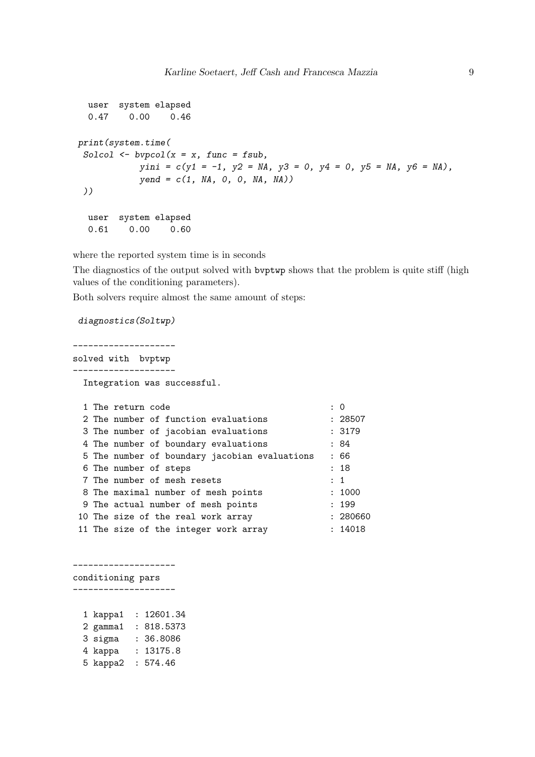```
user system elapsed
 0.47 0.00 0.46
print(system.time(
 Solcol <- bvpcol(x = x, func = fsub,
           yini = c(y1 = -1, y2 = NA, y3 = 0, y4 = 0, y5 = NA, y6 = NA),
           yend = c(1, NA, 0, 0, NA, NA))
 ))
 user system elapsed
  0.61 0.00 0.60
```
where the reported system time is in seconds

The diagnostics of the output solved with bvptwp shows that the problem is quite stiff (high values of the conditioning parameters).

Both solvers require almost the same amount of steps:

```
diagnostics(Soltwp)
```
--------------------

solved with bvptwp --------------------

Integration was successful.

|  | 1 The return code                             | : 0      |
|--|-----------------------------------------------|----------|
|  | 2 The number of function evaluations          | : 28507  |
|  | 3 The number of jacobian evaluations          | : 3179   |
|  | 4 The number of boundary evaluations          | : 84     |
|  | 5 The number of boundary jacobian evaluations | : 66     |
|  | 6 The number of steps                         | : 18     |
|  | 7 The number of mesh resets                   | : 1      |
|  | 8 The maximal number of mesh points           | : 1000   |
|  | 9 The actual number of mesh points            | : 199    |
|  | 10 The size of the real work array            | : 280660 |
|  | 11 The size of the integer work array         | : 14018  |

conditioning pars -------------------- 1 kappa1 : 12601.34 2 gamma1 : 818.5373 3 sigma : 36.8086

--------------------

| 4 kappa  | : 13175.8 |
|----------|-----------|
| 5 kappa2 | : 574.46  |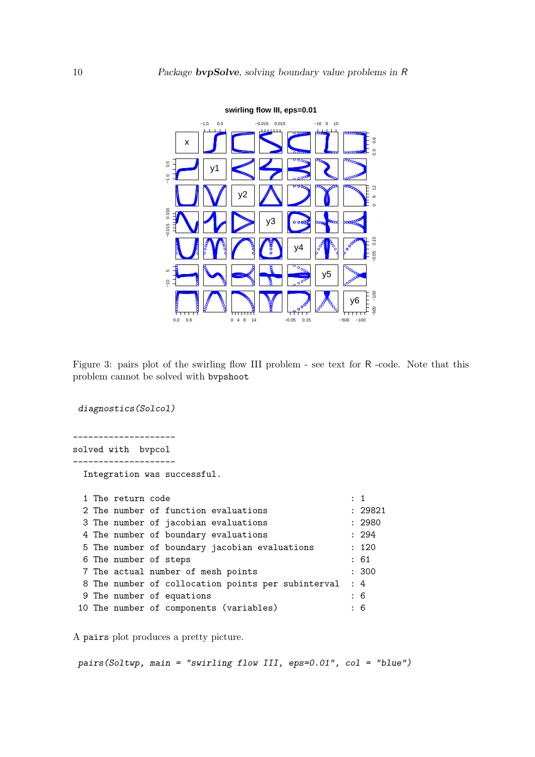

Figure 3: pairs plot of the swirling flow III problem - see text for R -code. Note that this problem cannot be solved with bvpshoot

*diagnostics(Solcol)* ------------------- solved with bvpcol -------------------- Integration was successful. 1 The return code : 1 2 The number of function evaluations : 29821 3 The number of jacobian evaluations : 2980 4 The number of boundary evaluations : 294 5 The number of boundary jacobian evaluations : 120 6 The number of steps : 61 7 The actual number of mesh points : 300 8 The number of collocation points per subinterval : 4 9 The number of equations : 6 10 The number of components (variables) : 6

A pairs plot produces a pretty picture.

*pairs(Soltwp, main = "swirling flow III, eps=0.01", col = "blue")*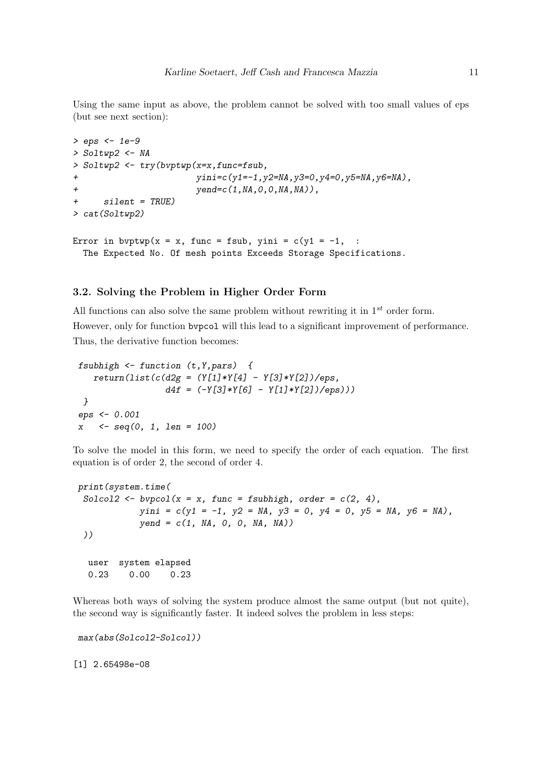Using the same input as above, the problem cannot be solved with too small values of eps (but see next section):

```
> eps <- 1e-9
> Soltwp2 <- NA
> Soltwp2 <- try(bvptwp(x=x,func=fsub,
                      + yini=c(y1=-1,y2=NA,y3=0,y4=0,y5=NA,y6=NA),
+ yend=c(1,NA,0,0,NA,NA)),
     + silent = TRUE)
> cat(Soltwp2)
Error in bvptwp(x = x, func = fsub, yini = c(y1 = -1, :
```
#### The Expected No. Of mesh points Exceeds Storage Specifications.

### 3.2. Solving the Problem in Higher Order Form

All functions can also solve the same problem without rewriting it in  $1^{st}$  order form. However, only for function bvpcol will this lead to a significant improvement of performance. Thus, the derivative function becomes:

```
fsubhigh <- function (t,Y,pars) {
   return(list(c(d2g = (Y[1]*Y[4] - Y[3]*Y[2])/eps,
                 d4f = (-Y[3]*Y[6] - Y[1]*Y[2])/eps)))
 }
eps <- 0.001
x <- seq(0, 1, len = 100)
```
To solve the model in this form, we need to specify the order of each equation. The first equation is of order 2, the second of order 4.

```
print(system.time(
 Solcol2 \leftarrow bypool(x = x, func = fsubhigh, order = c(2, 4),yini = c(y1 = -1, y2 = NA, y3 = 0, y4 = 0, y5 = NA, y6 = NA),
            yend = c(1, NA, 0, 0, NA, NA))
 ))
  user system elapsed
  0.23 0.00 0.23
```
Whereas both ways of solving the system produce almost the same output (but not quite), the second way is significantly faster. It indeed solves the problem in less steps:

```
max(abs(Solcol2-Solcol))
```
[1] 2.65498e-08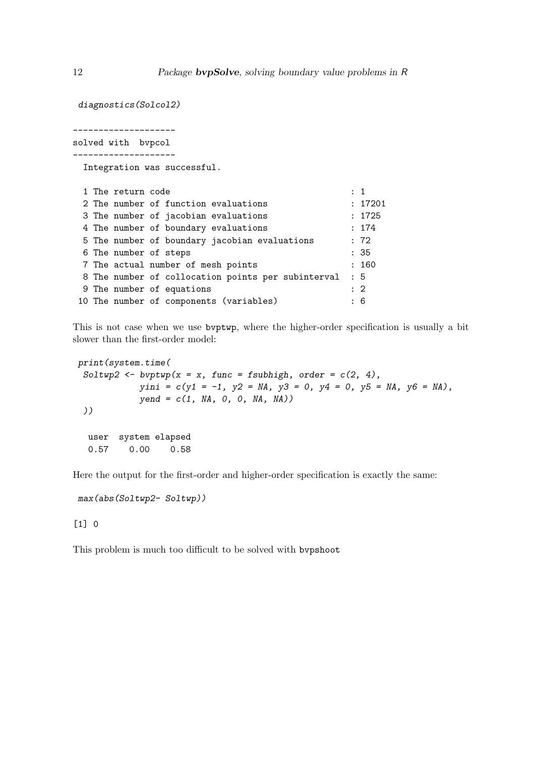*diagnostics(Solcol2)*

--------------------

solved with bvpcol --------------------

Integration was successful.

|  | 1 The return code     |                                                    | $\therefore$ 1 |
|--|-----------------------|----------------------------------------------------|----------------|
|  |                       | 2 The number of function evaluations               | : 17201        |
|  |                       | 3 The number of jacobian evaluations               | : 1725         |
|  |                       | 4 The number of boundary evaluations               | : 174          |
|  |                       | 5 The number of boundary jacobian evaluations      | : 72           |
|  | 6 The number of steps |                                                    | : 35           |
|  |                       | 7 The actual number of mesh points                 | : 160          |
|  |                       | 8 The number of collocation points per subinterval | $\colon 5$     |
|  |                       | 9 The number of equations                          | $\therefore$ 2 |
|  |                       | 10 The number of components (variables)            | : 6            |

This is not case when we use bvptwp, where the higher-order specification is usually a bit slower than the first-order model:

```
print(system.time(
 Soltwp2 <- bvptwp(x = x, func = fsubhigh, order = c(2, 4),
           yini = c(y1 = -1, y2 = NA, y3 = 0, y4 = 0, y5 = NA, y6 = NA),
           yend = c(1, NA, 0, 0, NA, NA))
 ))
 user system elapsed
  0.57 0.00 0.58
```
Here the output for the first-order and higher-order specification is exactly the same:

*max(abs(Soltwp2- Soltwp))*

#### [1] 0

This problem is much too difficult to be solved with bvpshoot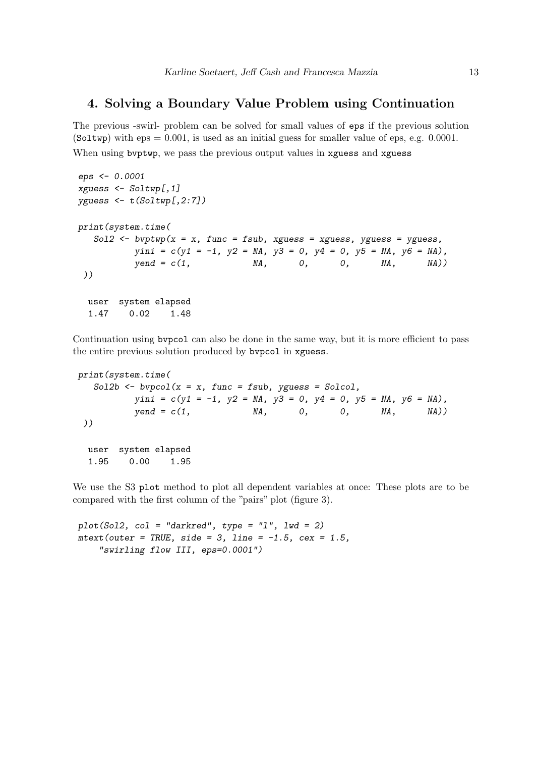### 4. Solving a Boundary Value Problem using Continuation

The previous -swirl- problem can be solved for small values of eps if the previous solution (Soltwp) with  $eps = 0.001$ , is used as an initial guess for smaller value of eps, e.g. 0.0001. When using byptwp, we pass the previous output values in xguess and xguess

```
eps <- 0.0001
xguess <- Soltwp[,1]
yguess <- t(Soltwp[,2:7])
print(system.time(
  Sol2 <- bvptwp(x = x, func = fsub, xguess = xguess, yguess = yguess,
         yini = c(y1 = -1, y2 = NA, y3 = 0, y4 = 0, y5 = NA, y6 = NA)yend = c(1, NA, 0, 0, NA, NA))
))
 user system elapsed
 1.47 0.02 1.48
```
Continuation using bvpcol can also be done in the same way, but it is more efficient to pass the entire previous solution produced by bvpcol in xguess.

```
print(system.time(
  Sol2b <- bvpcol(x = x, func = fsub, yguess = Solcol,
         yini = c(y1 = -1, y2 = NA, y3 = 0, y4 = 0, y5 = NA, y6 = NA),
         yend = c(1, NA, 0, 0, NA, NA))
 ))
 user system elapsed
 1.95 0.00 1.95
```
We use the S3 plot method to plot all dependent variables at once: These plots are to be compared with the first column of the "pairs" plot (figure 3).

```
plot(Sol2, col = "darkred", type = "l", lwd = 2)
mtext(outer = TRUE, side = 3, line = -1.5, cex = 1.5,
    "swirling flow III, eps=0.0001")
```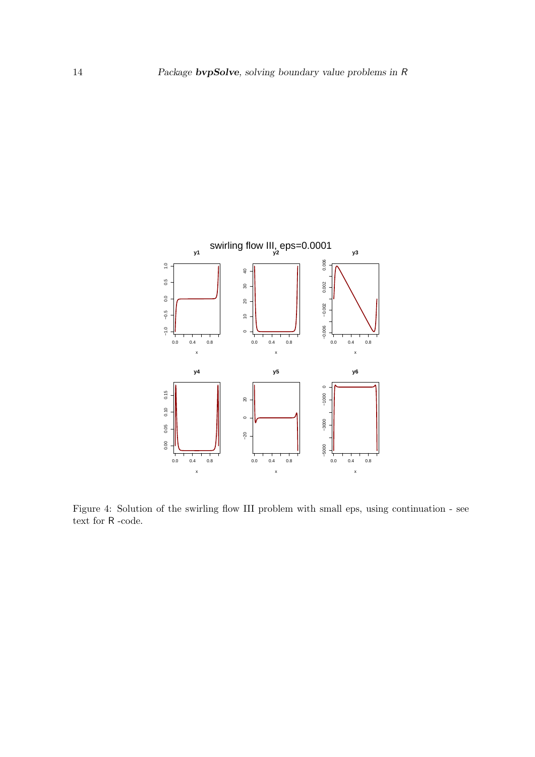

Figure 4: Solution of the swirling flow III problem with small eps, using continuation - see text for R -code.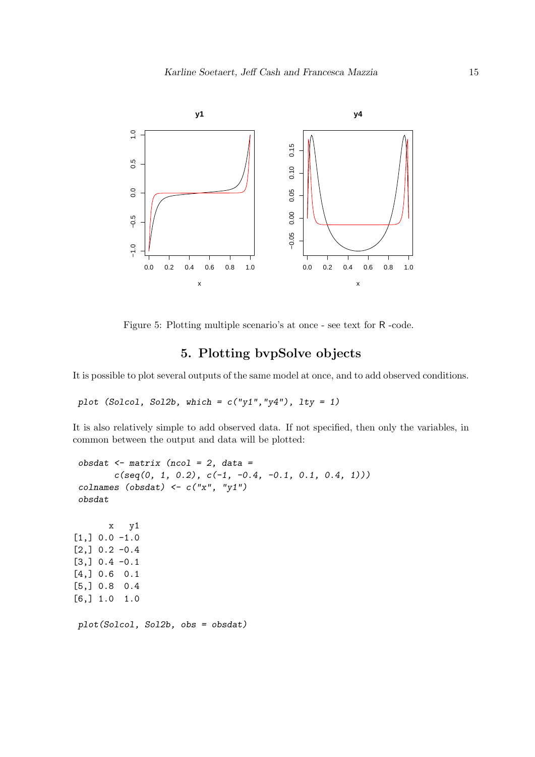

Figure 5: Plotting multiple scenario's at once - see text for R -code.

## 5. Plotting bvpSolve objects

It is possible to plot several outputs of the same model at once, and to add observed conditions.

*plot (Solcol, Sol2b, which = c("y1","y4"), lty = 1)*

It is also relatively simple to add observed data. If not specified, then only the variables, in common between the output and data will be plotted:

```
obsdat <- matrix (ncol = 2, data =
       c(seq(0, 1, 0.2), c(-1, -0.4, -0.1, 0.1, 0.4, 1)))
colnames (obsdat) <- c("x", "y1")
obsdat
      x y1
[1,] 0.0 -1.0[2,] 0.2 -0.4[3,] 0.4 -0.1[4,] 0.6 0.1
[5,] 0.8 0.4
[6,] 1.0 1.0
plot(Solcol, Sol2b, obs = obsdat)
```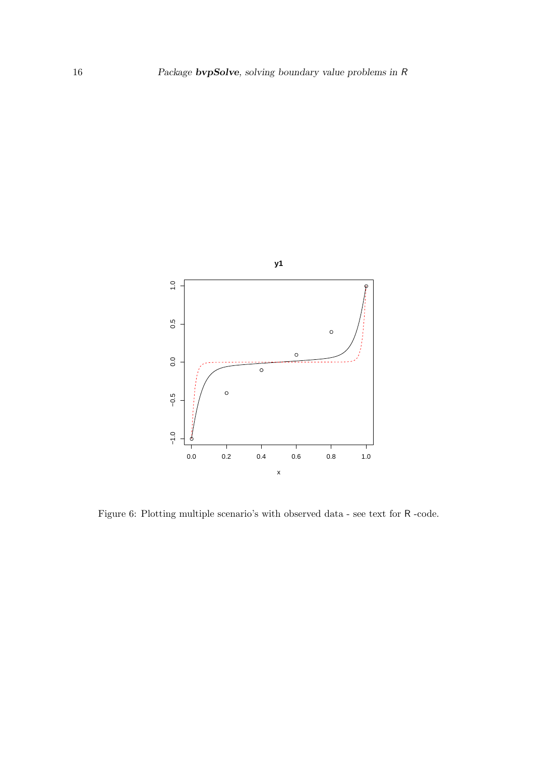

Figure 6: Plotting multiple scenario's with observed data - see text for R -code.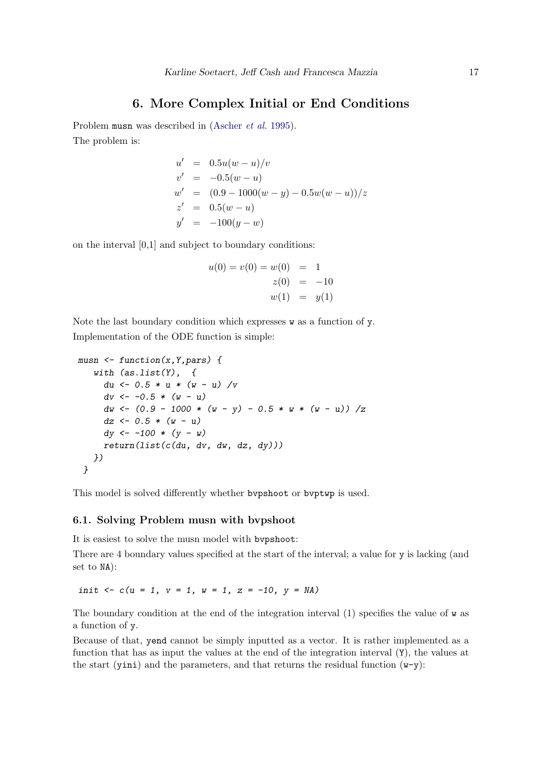### 6. More Complex Initial or End Conditions

Problem musn was described in [\(Ascher](#page-44-8) et al. [1995\)](#page-44-8). The problem is:

$$
u' = 0.5u(w - u)/v
$$
  
\n
$$
v' = -0.5(w - u)
$$
  
\n
$$
w' = (0.9 - 1000(w - y) - 0.5w(w - u))/z
$$
  
\n
$$
z' = 0.5(w - u)
$$
  
\n
$$
y' = -100(y - w)
$$

on the interval [0,1] and subject to boundary conditions:

$$
u(0) = v(0) = w(0) = 1
$$
  
\n
$$
z(0) = -10
$$
  
\n
$$
w(1) = y(1)
$$

Note the last boundary condition which expresses  $w$  as a function of  $y$ . Implementation of the ODE function is simple:

```
musn <- function(x,Y,pars) {
   with (as.list(Y), {
     du <- 0.5 * u * (w - u) /v
     dv <- -0.5 * (w - u)
     dw <- (0.9 - 1000 * (w - y) - 0.5 * w * (w - u)) /z
     dz <- 0.5 * (w - u)
     dy <- -100 * (y - w)
     return(list(c(du, dv, dw, dz, dy)))
   })
 }
```
This model is solved differently whether bvpshoot or bvptwp is used.

### 6.1. Solving Problem musn with bvpshoot

It is easiest to solve the musn model with bvpshoot:

There are 4 boundary values specified at the start of the interval; a value for y is lacking (and set to NA):

*init*  $\langle - c(u = 1, v = 1, w = 1, z = -10, y = NA \rangle$ 

The boundary condition at the end of the integration interval (1) specifies the value of w as a function of y.

Because of that, yend cannot be simply inputted as a vector. It is rather implemented as a function that has as input the values at the end of the integration interval (Y), the values at the start (yini) and the parameters, and that returns the residual function  $(w-y)$ :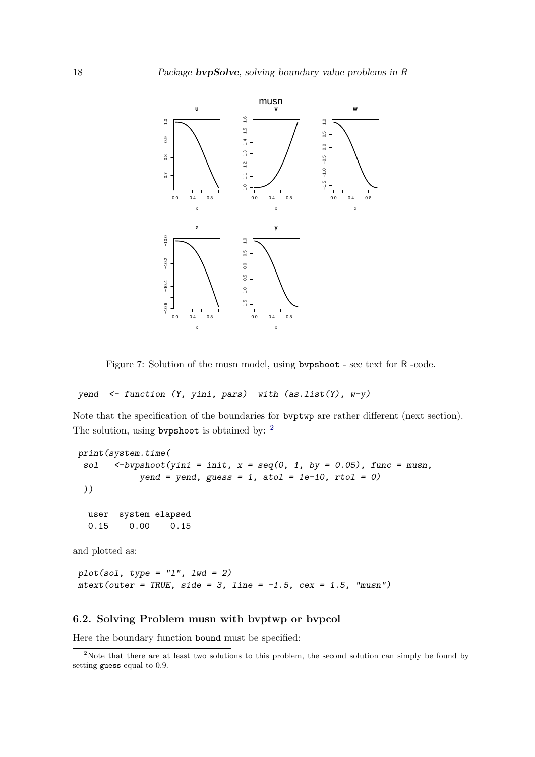

Figure 7: Solution of the musn model, using bvpshoot - see text for R -code.

#### *yend <- function (Y, yini, pars) with (as.list(Y), w-y)*

Note that the specification of the boundaries for bvptwp are rather different (next section). The solution, using bypshoot is obtained by: <sup>[2](#page-17-0)</sup>

```
print(system.time(
 sol <-bvpshoot(yini = init, x = seq(0, 1, by = 0.05), func = musn,
            yend = yend, guess = 1, atol = 1e-10, rtol = 0)
 ))
  user system elapsed
  0.15 0.00 0.15
and plotted as:
```

```
plot(sol, type = "l", lwd = 2)
mtext(outer = TRUE, side = 3, line = -1.5, cex = 1.5, "musn")
```
#### 6.2. Solving Problem musn with bvptwp or bvpcol

Here the boundary function bound must be specified:

<span id="page-17-0"></span><sup>&</sup>lt;sup>2</sup>Note that there are at least two solutions to this problem, the second solution can simply be found by setting guess equal to 0.9.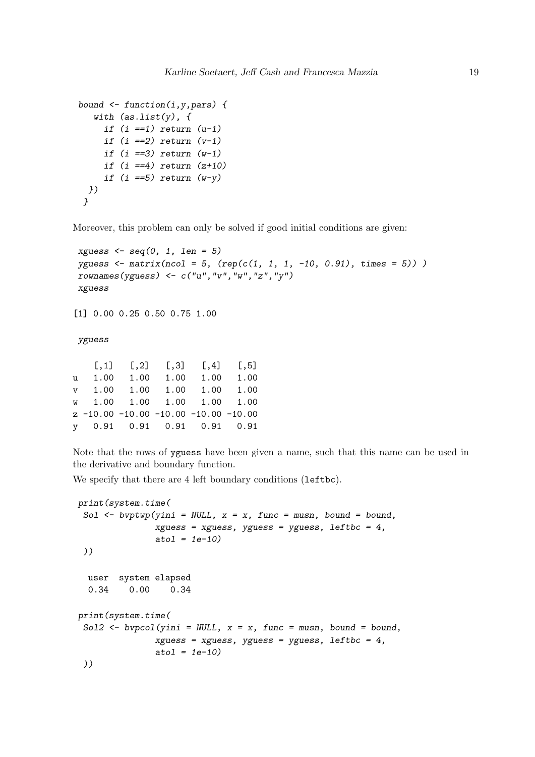```
bound <- function(i,y,pars) {
  with (as.list(y), {
     if (i ==1) return (u-1)
     if (i ==2) return (v-1)
     if (i ==3) return (w-1)
     if (i ==4) return (z+10)
     if (i ==5) return (w-y)
 })
}
```
Moreover, this problem can only be solved if good initial conditions are given:

```
xguess <- seq(0, 1, len = 5)
yguess <- matrix(ncol = 5, (rep(c(1, 1, 1, -10, 0.91), times = 5)) )
rownames(yguess) <- c("u","v","w","z","y")
xguess
```
[1] 0.00 0.25 0.50 0.75 1.00

*yguess*

|  | $[0,1]$ $[0,2]$ $[0,3]$ $[0,4]$ $[0,5]$ |  |
|--|-----------------------------------------|--|
|  | u 1.00 1.00 1.00 1.00 1.00              |  |
|  | v 1.00 1.00 1.00 1.00 1.00              |  |
|  | w 1.00 1.00 1.00 1.00 1.00              |  |
|  | $z -10.00 -10.00 -10.00 -10.00 -10.00$  |  |
|  | y 0.91 0.91 0.91 0.91 0.91              |  |

Note that the rows of yguess have been given a name, such that this name can be used in the derivative and boundary function.

We specify that there are 4 left boundary conditions (leftbc).

```
print(system.time(
 Sol <- bvptwp(yini = NULL, x = x, func = musn, bound = bound,
               xguess = xguess, yguess = yguess, leftbc = 4,
               atol = 1e-10)
 ))
 user system elapsed
  0.34 0.00 0.34
print(system.time(
 Sol2 <- bvpcol(yini = NULL, x = x, func = musn, bound = bound,
               xguess = xguess, yguess = yguess, leftbc = 4,
               atol = 1e-10)
 ))
```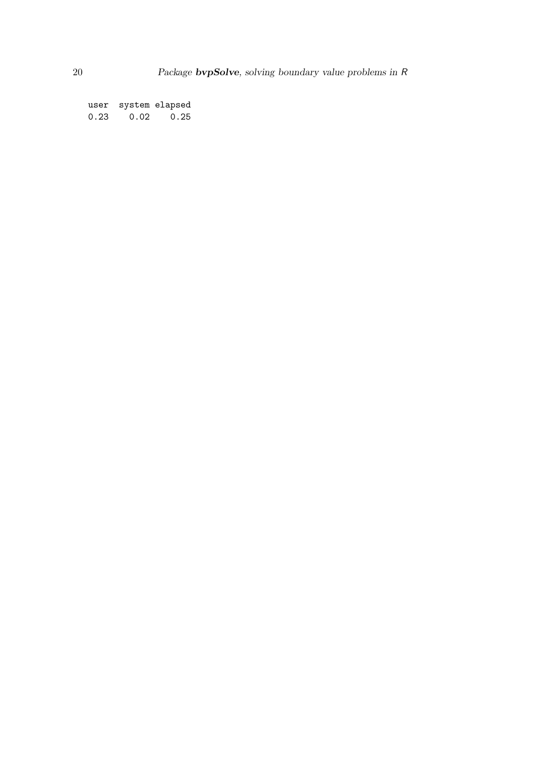user system elapsed 0.23 0.02 0.25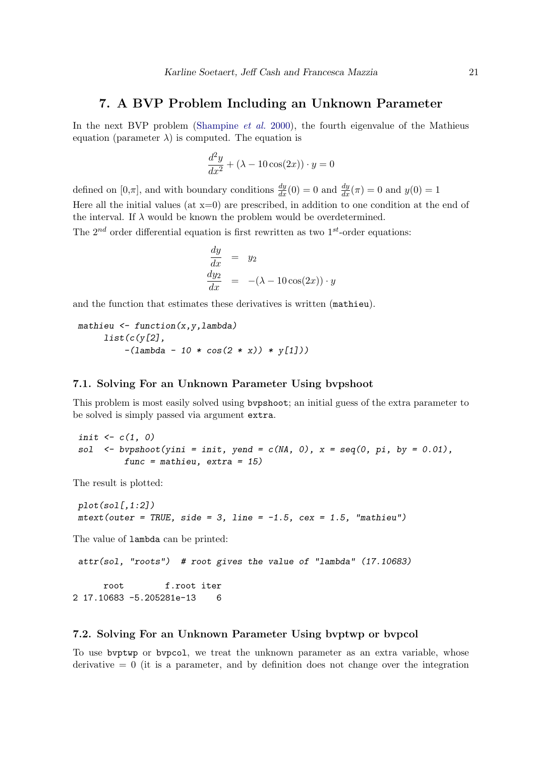### 7. A BVP Problem Including an Unknown Parameter

In the next BVP problem [\(Shampine](#page-44-9) *et al.* [2000\)](#page-44-9), the fourth eigenvalue of the Mathieus equation (parameter  $\lambda$ ) is computed. The equation is

$$
\frac{d^2y}{dx^2} + (\lambda - 10\cos(2x)) \cdot y = 0
$$

defined on  $[0,\pi]$ , and with boundary conditions  $\frac{dy}{dx}(0) = 0$  and  $\frac{dy}{dx}(\pi) = 0$  and  $y(0) = 1$ Here all the initial values (at  $x=0$ ) are prescribed, in addition to one condition at the end of the interval. If  $\lambda$  would be known the problem would be overdetermined.

The  $2^{nd}$  order differential equation is first rewritten as two  $1^{st}$ -order equations:

$$
\begin{array}{rcl}\n\frac{dy}{dx} & = & y_2\\
\frac{dy_2}{dx} & = & -(\lambda - 10\cos(2x)) \cdot y\n\end{array}
$$

and the function that estimates these derivatives is written (mathieu).

*mathieu <- function(x,y,lambda) list(c(y[2], -(lambda - 10 \* cos(2 \* x)) \* y[1]))*

#### 7.1. Solving For an Unknown Parameter Using bvpshoot

This problem is most easily solved using bvpshoot; an initial guess of the extra parameter to be solved is simply passed via argument extra.

*init <- c(1, 0) sol <- bvpshoot(yini = init, yend = c(NA, 0), x = seq(0, pi, by = 0.01), func = mathieu, extra = 15)*

The result is plotted:

*plot(sol[,1:2])*  $mtext{ text}(outer = TRUE, side = 3, line = -1.5, cex = 1.5, "mathieu")$ 

The value of lambda can be printed:

*attr(sol, "roots") # root gives the value of "lambda" (17.10683)*

root f.root iter 2 17.10683 -5.205281e-13 6

#### 7.2. Solving For an Unknown Parameter Using bvptwp or bvpcol

To use bvptwp or bvpcol, we treat the unknown parameter as an extra variable, whose derivative  $= 0$  (it is a parameter, and by definition does not change over the integration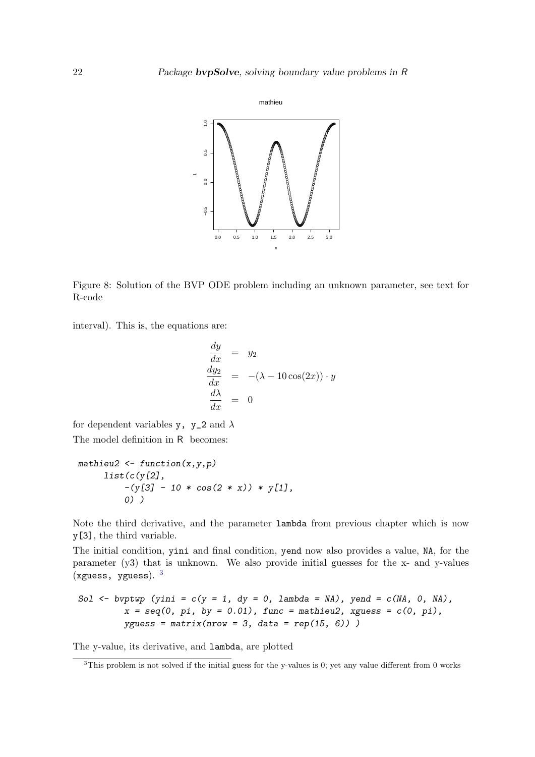

Figure 8: Solution of the BVP ODE problem including an unknown parameter, see text for R-code

interval). This is, the equations are:

$$
\begin{array}{rcl}\n\frac{dy}{dx} & = & y_2\\
\frac{dy_2}{dx} & = & -(\lambda - 10\cos(2x)) \cdot y\\
\frac{d\lambda}{dx} & = & 0\n\end{array}
$$

for dependent variables y, y\_2 and  $\lambda$ The model definition in R becomes:

```
mathieu2 <- function(x,y,p)
     list(c(y[2],
         -(y[3] - 10 * cos(2 * x)) * y[1],
         0) )
```
Note the third derivative, and the parameter lambda from previous chapter which is now y[3], the third variable.

The initial condition, yini and final condition, yend now also provides a value, NA, for the parameter (y3) that is unknown. We also provide initial guesses for the x- and y-values (xguess, yguess).  $3$ 

\nSo1 <- byptwp (yini = 
$$
c(y = 1, \, dy = 0, \, \text{lambda} = \text{NA})
$$
, \n yend =  $c(\text{NA}, \, 0, \, \text{NA})$ , \n  $x = \text{seq}(0, \, \text{pi}, \, \text{by} = 0.01)$ , \n func =  $\text{math}(\text{15}, \, \text{6})$ )\n

The y-value, its derivative, and lambda, are plotted

<span id="page-21-0"></span><sup>&</sup>lt;sup>3</sup>This problem is not solved if the initial guess for the y-values is 0; yet any value different from 0 works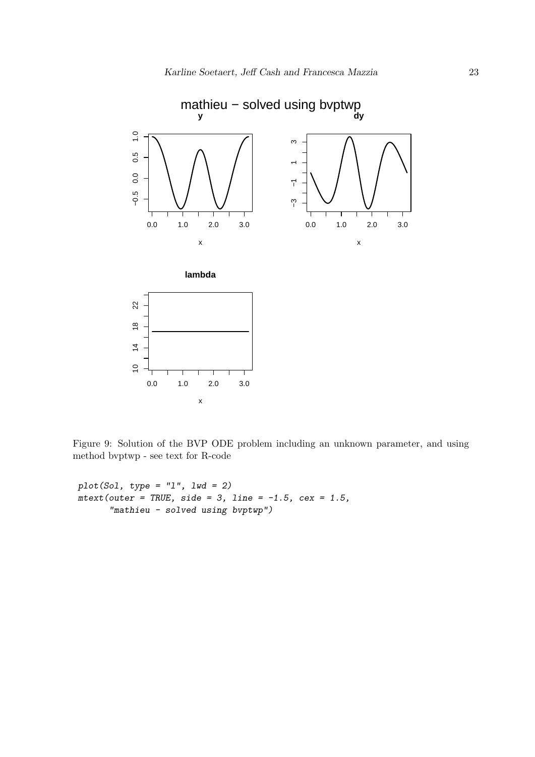

Figure 9: Solution of the BVP ODE problem including an unknown parameter, and using method bvptwp - see text for R-code

*plot(Sol, type = "l", lwd = 2) mtext(outer = TRUE, side = 3, line = -1.5, cex = 1.5, "mathieu - solved using bvptwp")*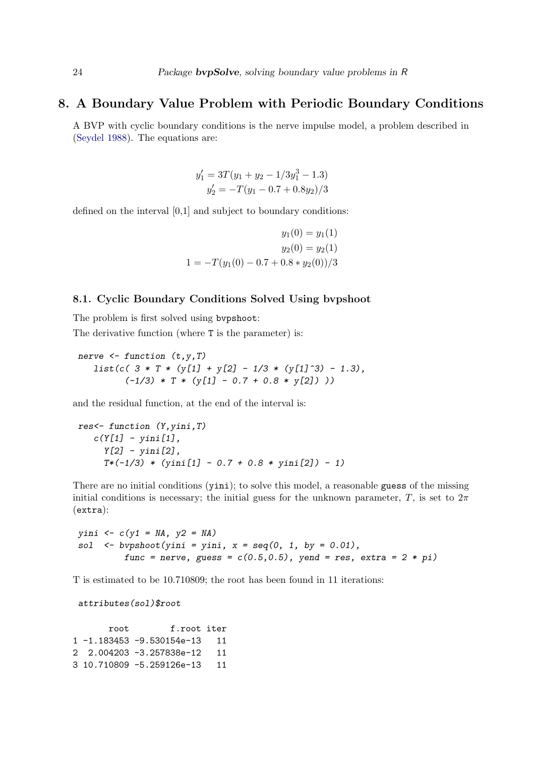### 8. A Boundary Value Problem with Periodic Boundary Conditions

A BVP with cyclic boundary conditions is the nerve impulse model, a problem described in [\(Seydel 1988\)](#page-44-10). The equations are:

$$
y'_1 = 3T(y_1 + y_2 - 1/3y_1^3 - 1.3)
$$
  

$$
y'_2 = -T(y_1 - 0.7 + 0.8y_2)/3
$$

defined on the interval [0,1] and subject to boundary conditions:

$$
y_1(0) = y_1(1)
$$
  

$$
y_2(0) = y_2(1)
$$
  

$$
1 = -T(y_1(0) - 0.7 + 0.8 * y_2(0))/3
$$

#### 8.1. Cyclic Boundary Conditions Solved Using bvpshoot

The problem is first solved using bvpshoot: The derivative function (where T is the parameter) is:

*nerve <- function (t,y,T) list(c( 3 \* T \* (y[1] + y[2] - 1/3 \* (y[1]^3) - 1.3), (-1/3) \* T \* (y[1] - 0.7 + 0.8 \* y[2]) ))*

and the residual function, at the end of the interval is:

```
res<- function (Y,yini,T)
   c(Y[1] - yini[1],
     Y[2] - yini[2],
     T*(-1/3) * (yini[1] - 0.7 + 0.8 * yini[2]) - 1)
```
There are no initial conditions (yini); to solve this model, a reasonable guess of the missing initial conditions is necessary; the initial guess for the unknown parameter, T, is set to  $2\pi$ (extra):

*yini <- c(y1 = NA, y2 = NA) sol <- bvpshoot(yini = yini, x = seq(0, 1, by = 0.01), func = nerve, guess =*  $c(0.5, 0.5)$ *, yend = res, extra = 2 \* pi)* 

T is estimated to be 10.710809; the root has been found in 11 iterations:

*attributes(sol)\$root*

root f.root iter 1 -1.183453 -9.530154e-13 11 2 2.004203 -3.257838e-12 11 3 10.710809 -5.259126e-13 11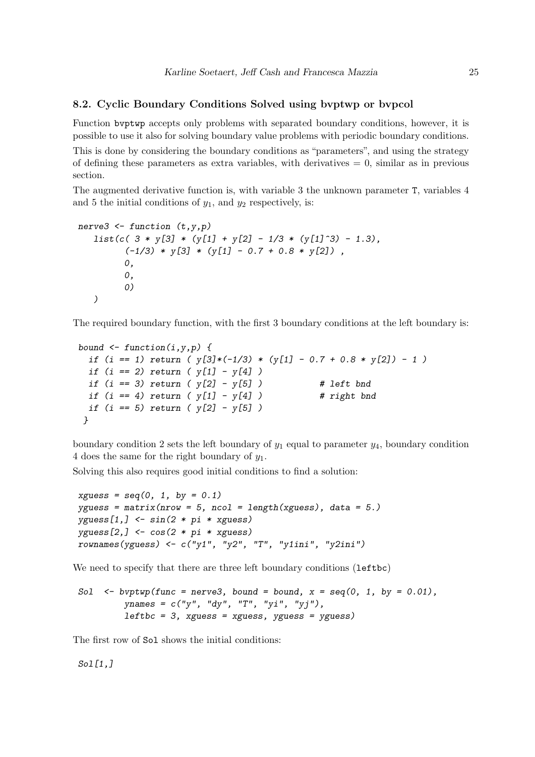### 8.2. Cyclic Boundary Conditions Solved using bvptwp or bvpcol

Function bvptwp accepts only problems with separated boundary conditions, however, it is possible to use it also for solving boundary value problems with periodic boundary conditions.

This is done by considering the boundary conditions as "parameters", and using the strategy of defining these parameters as extra variables, with derivatives  $= 0$ , similar as in previous section.

The augmented derivative function is, with variable 3 the unknown parameter T, variables 4 and 5 the initial conditions of  $y_1$ , and  $y_2$  respectively, is:

```
nerve3 <- function (t,y,p)
   list(c( 3 * y[3] * (y[1] + y[2] - 1/3 * (y[1]^3) - 1.3),
         (-1/3) * y[3] * (y[1] - 0.7 + 0.8 * y[2]) ,
         0,
         0,
         0)
   )
```
The required boundary function, with the first 3 boundary conditions at the left boundary is:

```
bound <- function(i,y,p) {
 if (i == 1) return ( y[3]*(-1/3) * (y[1] - 0.7 + 0.8 * y[2]) - 1 )
 if (i == 2) return ( y[1] - y[4] )
 if (i == 3) return ( y[2] - y[5] ) # left bnd
 if (i == 4) return ( y[1] - y[4] ) # right bnd
 if (i == 5) return ( y[2] - y[5] )
}
```
boundary condition 2 sets the left boundary of  $y_1$  equal to parameter  $y_4$ , boundary condition 4 does the same for the right boundary of  $y_1$ .

Solving this also requires good initial conditions to find a solution:

```
xguess = seq(0, 1, by = 0.1)
yguess = matrix(nrow = 5, ncol = length(xguess), data = 5.)
yguess[1,] <- sin(2 * pi * xguess)
yguess[2,] <- cos(2 * pi * xguess)
rownames(yguess) <- c("y1", "y2", "T", "y1ini", "y2ini")
```
We need to specify that there are three left boundary conditions (leftbc)

```
Sol \leq byptwp(func = nerve3, bound = bound, x = seq(0, 1, by = 0.01),
         ynames = c("y", "dy", "T", "yi", "yj"),
         leftbc = 3, xguess = xguess, yguess = yguess)
```
The first row of Sol shows the initial conditions:

*Sol[1,]*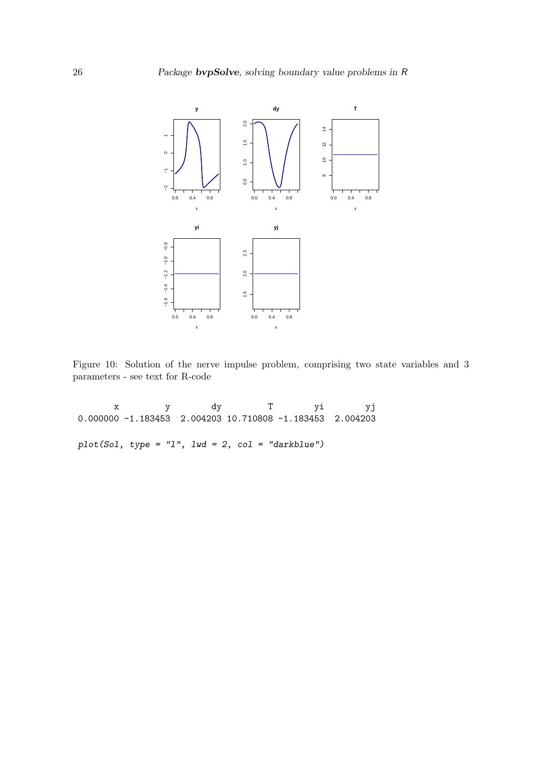

Figure 10: Solution of the nerve impulse problem, comprising two state variables and 3 parameters - see text for R-code

x y dy T yi yj 0.000000 -1.183453 2.004203 10.710808 -1.183453 2.004203 *plot(Sol, type = "l", lwd = 2, col = "darkblue")*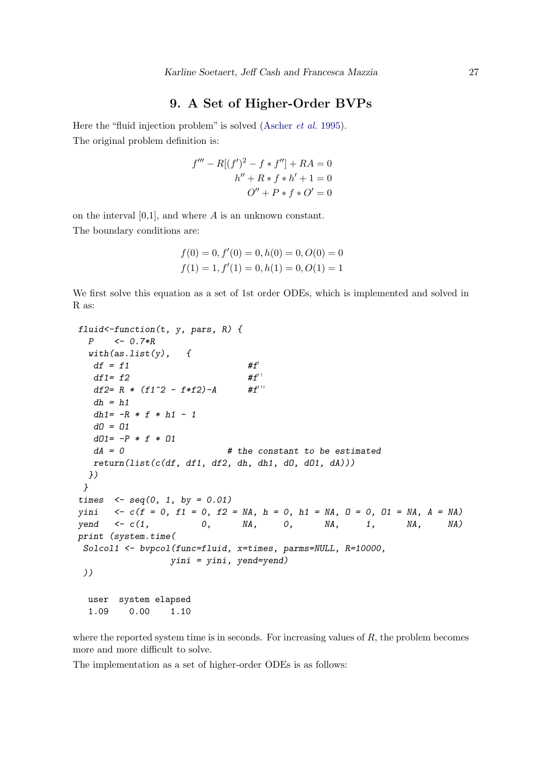### 9. A Set of Higher-Order BVPs

Here the "fluid injection problem" is solved [\(Ascher](#page-44-8) et al. [1995\)](#page-44-8). The original problem definition is:

$$
f''' - R[(f')^{2} - f * f''] + RA = 0
$$
  

$$
h'' + R * f * h' + 1 = 0
$$
  

$$
O'' + P * f * O' = 0
$$

on the interval [0,1], and where A is an unknown constant. The boundary conditions are:

$$
f(0) = 0, f'(0) = 0, h(0) = 0, O(0) = 0
$$
  

$$
f(1) = 1, f'(1) = 0, h(1) = 0, O(1) = 1
$$

We first solve this equation as a set of 1st order ODEs, which is implemented and solved in R as:

```
fluid<-function(t, y, pars, R) {
 P <- 0.7*R
 with(as.list(y), {
  df = f1 #f'
  df1= f2 #f<sup>''</sup>
  df2= R * (f1^2 - f*f2) - A #f<sup>***</sup>
  dh = h1
  dh1= -R * f * h1 - 1
  dO = O1
  dO1= -P * f * O1
  dA = 0 # the constant to be estimated
  return(list(c(df, df1, df2, dh, dh1, dO, dO1, dA)))
 })
}
times <- seq(0, 1, by = 0.01)
yini <- c(f = 0, f1 = 0, f2 = NA, h = 0, h1 = NA, O = 0, O1 = NA, A = NA)
yend <- c(1, 0, NA, 0, NA, 1, NA, NA)
print (system.time(
Solcol1 <- bvpcol(func=fluid, x=times, parms=NULL, R=10000,
               yini = yini, yend=yend)
))
 user system elapsed
 1.09 0.00 1.10
```
where the reported system time is in seconds. For increasing values of  $R$ , the problem becomes more and more difficult to solve.

The implementation as a set of higher-order ODEs is as follows: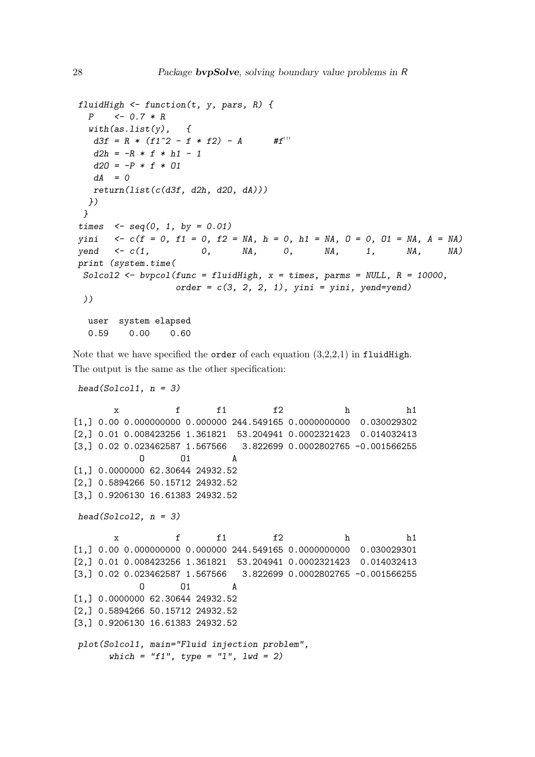```
fluidHigh <- function(t, y, pars, R) {
 P <- 0.7 * R
 with(as.list(y), {
  d3f = R * (f1^2 - f * f2) - A #f<sup>***</sup>
  d2h = -R * f * h1 - 1d2O = -P * f * O1
  dA = 0
  return(list(c(d3f, d2h, d2O, dA)))
 })
}
times <- seq(0, 1, by = 0.01)
yini <- c(f = 0, f1 = 0, f2 = NA, h = 0, h1 = NA, O = 0, O1 = NA, A = NA)
yend <- c(1, 0, NA, 0, NA, 1, NA, NA)
print (system.time(
Solcol2 <- bvpcol(func = fluidHigh, x = times, parms = NULL, R = 10000,
                 order = c(3, 2, 2, 1), yini = yini, yend=yend)
))
 user system elapsed
 0.59 0.00 0.60
```
Note that we have specified the **order** of each equation  $(3,2,2,1)$  in fluidHigh. The output is the same as the other specification:

```
head(Solcol1, n = 3)
       x f f1 f2 h h1
[1,] 0.00 0.000000000 0.000000 244.549165 0.0000000000 0.030029302
[2,] 0.01 0.008423256 1.361821 53.204941 0.0002321423 0.014032413
[3,] 0.02 0.023462587 1.567566 3.822699 0.0002802765 -0.001566255
           O O1 A
[1,] 0.0000000 62.30644 24932.52
[2,] 0.5894266 50.15712 24932.52
[3,] 0.9206130 16.61383 24932.52
head(Solcol2, n = 3)
       x f f1 f2 h h1
[1,] 0.00 0.000000000 0.000000 244.549165 0.0000000000 0.030029301
[2,] 0.01 0.008423256 1.361821 53.204941 0.0002321423 0.014032413
[3,] 0.02 0.023462587 1.567566 3.822699 0.0002802765 -0.001566255
           O O1 A
[1,] 0.0000000 62.30644 24932.52
[2,] 0.5894266 50.15712 24932.52
[3,] 0.9206130 16.61383 24932.52
plot(Solcol1, main="Fluid injection problem",
      which = "f1", type = "l", lwd = 2)
```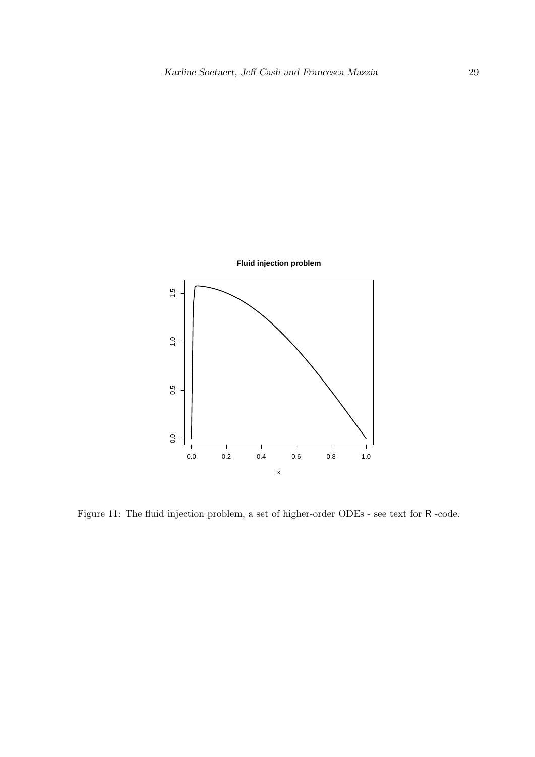

Figure 11: The fluid injection problem, a set of higher-order ODEs - see text for R -code.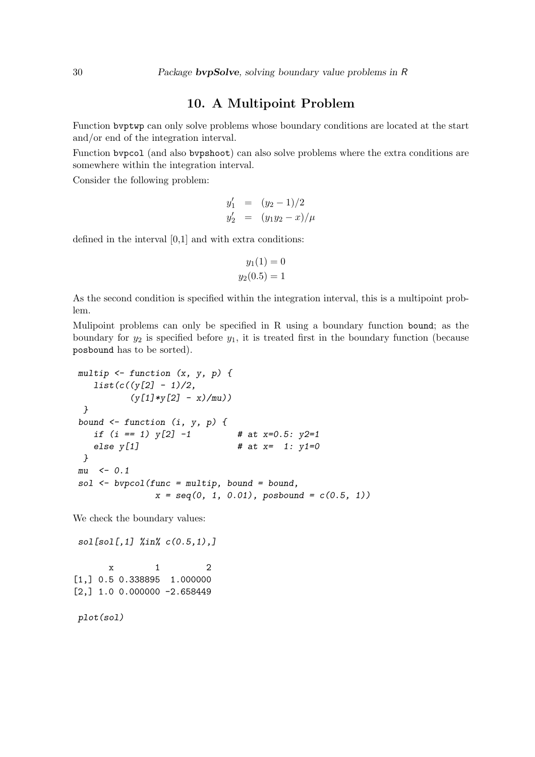### 10. A Multipoint Problem

Function bvptwp can only solve problems whose boundary conditions are located at the start and/or end of the integration interval.

Function bvpcol (and also bvpshoot) can also solve problems where the extra conditions are somewhere within the integration interval.

Consider the following problem:

$$
y'_1 = (y_2 - 1)/2
$$
  
\n
$$
y'_2 = (y_1y_2 - x)/\mu
$$

defined in the interval [0,1] and with extra conditions:

$$
y_1(1) = 0
$$
  

$$
y_2(0.5) = 1
$$

As the second condition is specified within the integration interval, this is a multipoint problem.

Mulipoint problems can only be specified in R using a boundary function bound; as the boundary for  $y_2$  is specified before  $y_1$ , it is treated first in the boundary function (because posbound has to be sorted).

```
multip <- function (x, y, p) {
  list(c((y[2] - 1)/2,
         (y[1]*y[2] - x)/mu))
}
bound <- function (i, y, p) {
  if (i == 1) y[2] -1 # at x=0.5: y2=1
  else y[1] # at x= 1: y1=0
}
mu <- 0.1
sol <- bvpcol(func = multip, bound = bound,
             x = seq(0, 1, 0.01), posbound = c(0.5, 1))
```
We check the boundary values:

*sol[sol[,1] %in% c(0.5,1),]*

 $x \t 1 \t 2$ [1,] 0.5 0.338895 1.000000  $[2,] 1.0 0.000000 -2.658449$ 

*plot(sol)*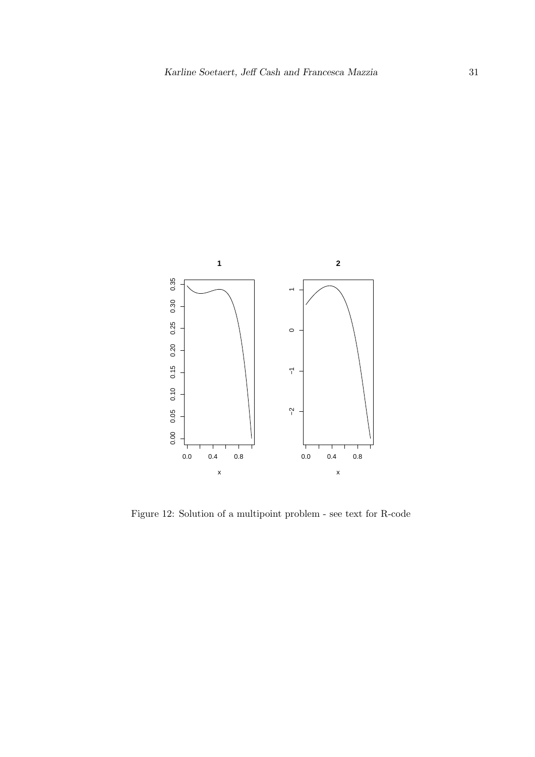

Figure 12: Solution of a multipoint problem - see text for R-code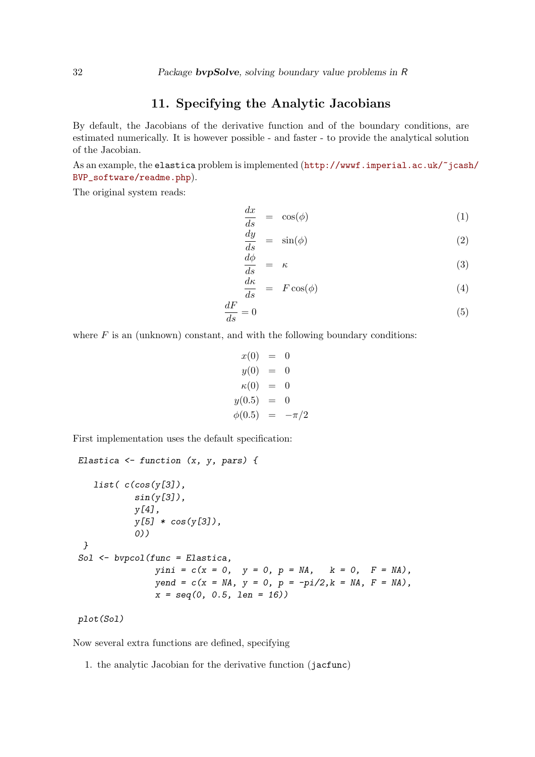### 11. Specifying the Analytic Jacobians

By default, the Jacobians of the derivative function and of the boundary conditions, are estimated numerically. It is however possible - and faster - to provide the analytical solution of the Jacobian.

As an example, the elastica problem is implemented ([http://wwwf.imperial.ac.uk/~jcash](http://wwwf.imperial.ac.uk/~jcash/BVP_software/readme.php)/ [BVP\\_software/readme.php](http://wwwf.imperial.ac.uk/~jcash/BVP_software/readme.php)).

The original system reads:

$$
\frac{dx}{ds} = \cos(\phi) \tag{1}
$$

$$
\frac{dy}{ds} = \sin(\phi) \tag{2}
$$

$$
\frac{d\phi}{ds} = \kappa \tag{3}
$$

$$
\frac{d\kappa}{ds} = F\cos(\phi) \tag{4}
$$

$$
\frac{dF}{ds} = 0\tag{5}
$$

where  $F$  is an (unknown) constant, and with the following boundary conditions:

$$
x(0) = 0\n y(0) = 0\n \kappa(0) = 0\n y(0.5) = 0\n \phi(0.5) = -\pi/2
$$

First implementation uses the default specification:

```
Elastica <- function (x, y, pars) {
   list( c(cos(y[3]),
           sin(y[3]),
           y[4],
           y[5] * cos(y[3]),
           0))
 }
Sol <- bvpcol(func = Elastica,
              yini = c(x = 0, y = 0, p = MA, k = 0, F = MA),yend = c(x = NA, y = 0, p = -pi/2,k = NA, F = NA),
               x = seq(0, 0.5, len = 16))
```

```
plot(Sol)
```
Now several extra functions are defined, specifying

1. the analytic Jacobian for the derivative function (jacfunc)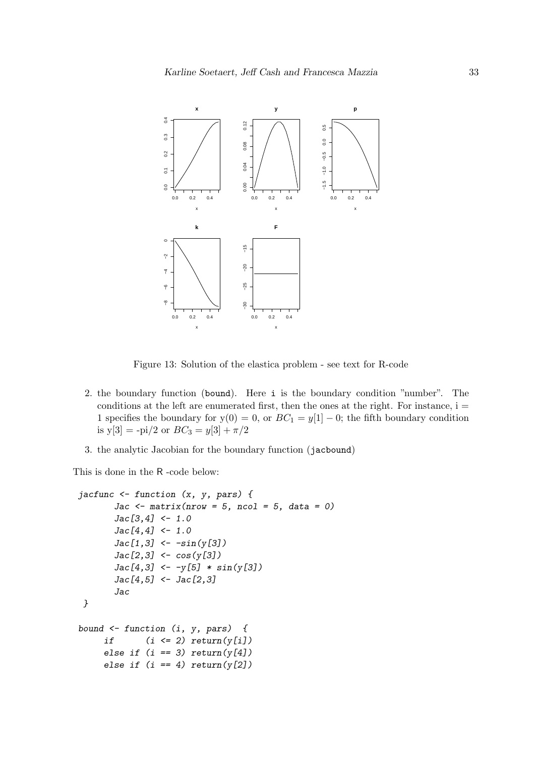

Figure 13: Solution of the elastica problem - see text for R-code

- 2. the boundary function (bound). Here i is the boundary condition "number". The conditions at the left are enumerated first, then the ones at the right. For instance,  $i =$ 1 specifies the boundary for  $y(0) = 0$ , or  $BC_1 = y[1] - 0$ ; the fifth boundary condition is  $y[3] = -pi/2$  or  $BC_3 = y[3] + \pi/2$
- 3. the analytic Jacobian for the boundary function (jacbound)

This is done in the R -code below:

```
jacfunc <- function (x, y, pars) {
       Jac <- matrix(nrow = 5, ncol = 5, data = 0)
       Jac[3,4] <- 1.0
       Jac[4,4] <- 1.0
       Jac[1,3] <- -sin(y[3])
       Jac[2,3] <- cos(y[3])
       Jac[4,3] <- -y[5] * sin(y[3])
       Jac[4,5] <- Jac[2,3]
       Jac
 }
bound <- function (i, y, pars) {
     if (i <= 2) return(y[i])
     else if (i == 3) return(y[4])
     else if (i == 4) return(y[2])
```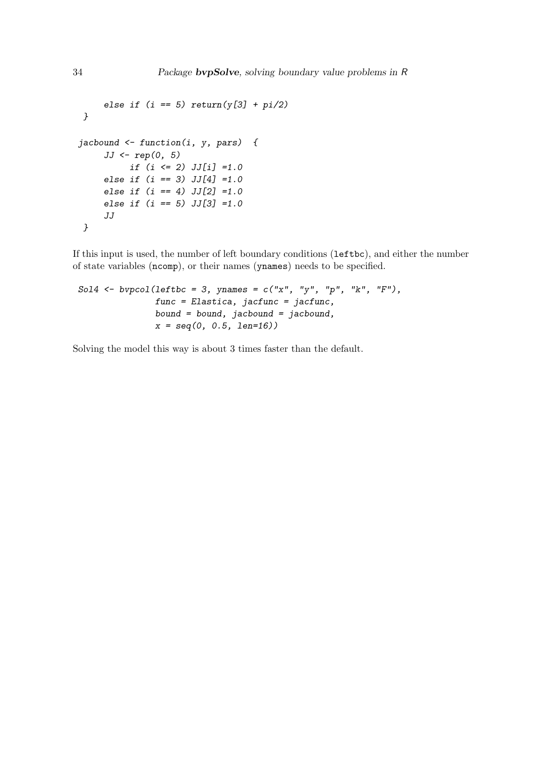```
else if (i == 5) return(y[3] + pi/2)
 }
jacbound <- function(i, y, pars) {
     JJ <- rep(0, 5)
          if (i <= 2) JJ[i] =1.0
     else if (i == 3) JJ[4] =1.0
     else if (i == 4) JJ[2] =1.0
     else if (i == 5) JJ[3] =1.0
     JJ
 }
```
If this input is used, the number of left boundary conditions (leftbc), and either the number of state variables (ncomp), or their names (ynames) needs to be specified.

```
Sol4 <- bvpcol(leftbc = 3, ynames = c("x", "y", "p", "k", "F"),
               func = Elastica, jacfunc = jacfunc,
               bound = bound, jacbound = jacbound,
               x = seq(0, 0.5, len=16))
```
Solving the model this way is about 3 times faster than the default.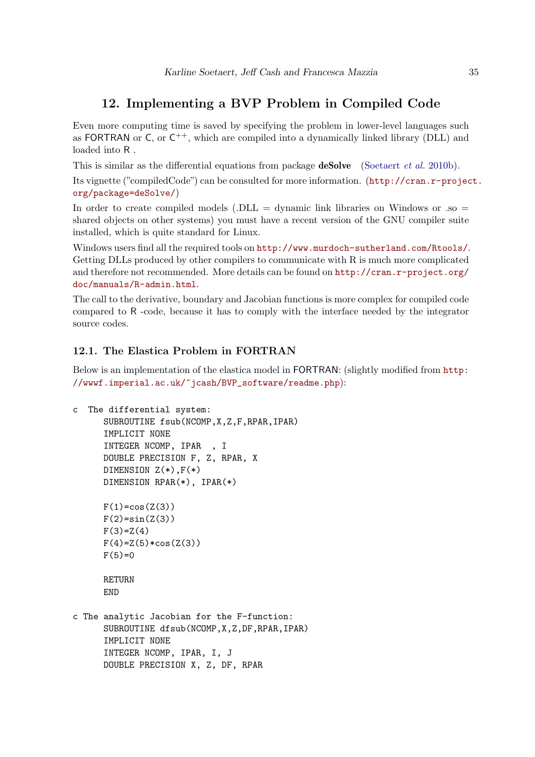### 12. Implementing a BVP Problem in Compiled Code

Even more computing time is saved by specifying the problem in lower-level languages such as FORTRAN or C, or  $C^{++}$ , which are compiled into a dynamically linked library (DLL) and loaded into R .

This is similar as the differential equations from package **deSolve** [\(Soetaert](#page-44-2) *et al.* [2010b\)](#page-44-2).

Its vignette ("compiledCode") can be consulted for more information. ([http://cran.r-projec](http://cran.r-project.org/package=deSolve/)t. [org/package=deSolve/](http://cran.r-project.org/package=deSolve/))

In order to create compiled models (.DLL = dynamic link libraries on Windows or .so = shared objects on other systems) you must have a recent version of the GNU compiler suite installed, which is quite standard for Linux.

Windows users find all the required tools on <http://www.murdoch-sutherland.com/Rtools/>. Getting DLLs produced by other compilers to communicate with R is much more complicated and therefore not recommended. More details can be found on [http://cran.r-project.org/](http://cran.r-project.org/doc/manuals/R-admin.html) [doc/manuals/R-admin.html](http://cran.r-project.org/doc/manuals/R-admin.html).

The call to the derivative, boundary and Jacobian functions is more complex for compiled code compared to R -code, because it has to comply with the interface needed by the integrator source codes.

### 12.1. The Elastica Problem in FORTRAN

Below is an implementation of the elastica model in FORTRAN: (slightly modified from [http:](http://wwwf.imperial.ac.uk/~jcash/BVP_software/readme.php) [//wwwf.imperial.ac.uk/~jcash/BVP\\_software/readme.php](http://wwwf.imperial.ac.uk/~jcash/BVP_software/readme.php)):

```
c The differential system:
      SUBROUTINE fsub(NCOMP,X,Z,F,RPAR,IPAR)
      IMPLICIT NONE
      INTEGER NCOMP, IPAR , I
      DOUBLE PRECISION F, Z, RPAR, X
      DIMENSION Z(*),F(*)
      DIMENSION RPAR(*), IPAR(*)
      F(1) = cos(Z(3))F(2)=sin(Z(3))F(3)=Z(4)F(4)=Z(5)*cos(Z(3))F(5)=0RETURN
      END
c The analytic Jacobian for the F-function:
      SUBROUTINE dfsub(NCOMP,X,Z,DF,RPAR,IPAR)
      IMPLICIT NONE
      INTEGER NCOMP, IPAR, I, J
```
DOUBLE PRECISION X, Z, DF, RPAR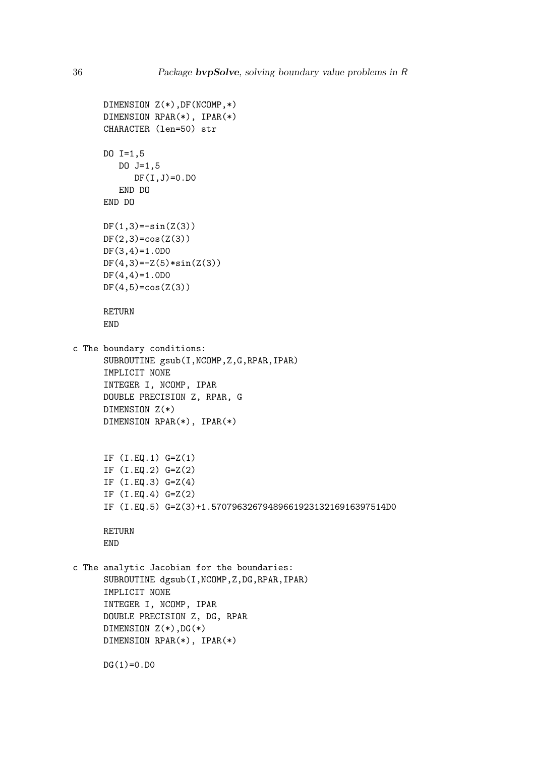```
DIMENSION Z(*),DF(NCOMP,*)
     DIMENSION RPAR(*), IPAR(*)
     CHARACTER (len=50) str
     DO I=1,5
        DO J=1,5
            DF(I,J)=0.D0END DO
     END DO
     DF(1,3) = -sin(2(3))DF(2,3)=cos(2(3))DF(3,4)=1.0D0
     DF(4,3) = -Z(5) * sin(Z(3))DF(4,4)=1.0D0
     DF(4,5) = cos(2(3))RETURN
     END
c The boundary conditions:
     SUBROUTINE gsub(I,NCOMP,Z,G,RPAR,IPAR)
      IMPLICIT NONE
     INTEGER I, NCOMP, IPAR
     DOUBLE PRECISION Z, RPAR, G
     DIMENSION Z(*)
     DIMENSION RPAR(*), IPAR(*)
     IF (I.EQ.1) G=Z(1)
     IF (I.EQ.2) G=Z(2)
     IF (I.EQ.3) G=Z(4)
      IF (I.EQ.4) G=Z(2)
      IF (I.EQ.5) G=Z(3)+1.5707963267948966192313216916397514D0
     RETURN
     END
c The analytic Jacobian for the boundaries:
     SUBROUTINE dgsub(I,NCOMP,Z,DG,RPAR,IPAR)
     IMPLICIT NONE
      INTEGER I, NCOMP, IPAR
     DOUBLE PRECISION Z, DG, RPAR
     DIMENSION Z(*),DG(*)
     DIMENSION RPAR(*), IPAR(*)
     DG(1)=0.DO
```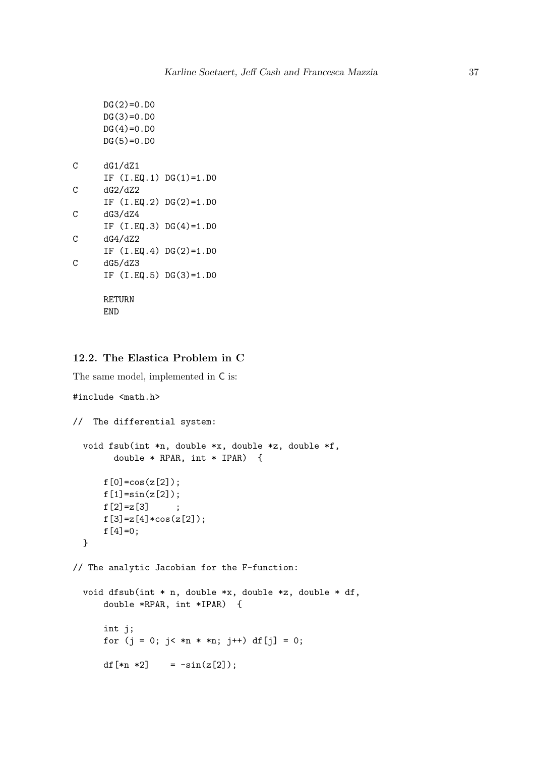```
DG(2)=0.DO
     DG(3)=0.DO
     DG(4)=0.DO
     DG(5)=0.DO
C dG1/dZ1
     IF (I.EQ.1) DG(1)=1.D0
C dG2/dZ2
     IF (I.EQ.2) DG(2)=1.D0
C dG3/dZ4
     IF (I.EQ.3) DG(4)=1.D0
C dG4/dZ2
     IF (I.EQ.4) DG(2)=1.D0
C dG5/dZ3
     IF (I.EQ.5) DG(3)=1.D0
     RETURN
     END
```
### 12.2. The Elastica Problem in C

The same model, implemented in C is:

```
#include <math.h>
```

```
// The differential system:
  void fsub(int *n, double *x, double *z, double *f,
        double * RPAR, int * IPAR) {
      f[0] = cos(z[2]);f[1] = sin(z[2]);f[2] = z[3] ;
     f[3]=z[4]*cos(z[2]);f[4]=0;}
// The analytic Jacobian for the F-function:
  void dfsub(int * n, double *x, double *z, double * df,
      double *RPAR, int *IPAR) {
      int j;
      for (j = 0; j < *n * *n; j++) df[j] = 0;df[xn *2] = -sin(z[2]);
```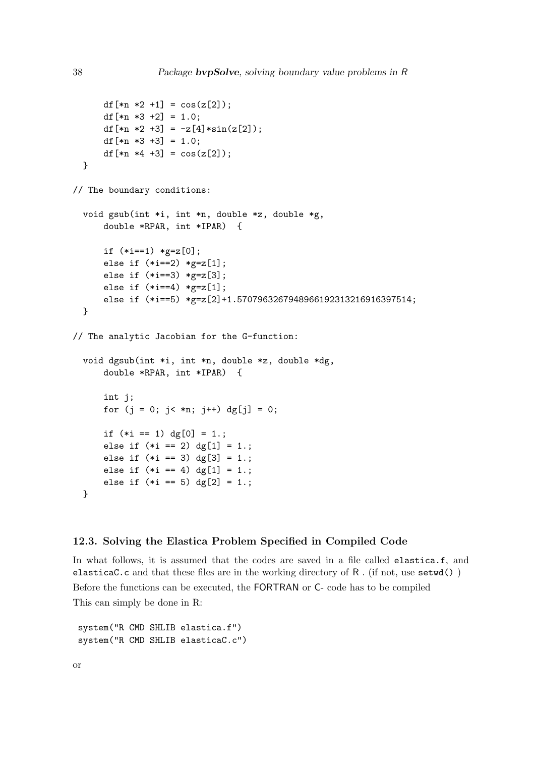```
df[xn *2 +1] = cos(z[2]);df[xn *3 +2] = 1.0;df[xn *2 +3] = -z[4]*sin(z[2]);df[xn *3 +3] = 1.0;df[xn *4 +3] = cos(z[2]);
  }
// The boundary conditions:
  void gsub(int *i, int *n, double *z, double *g,
      double *RPAR, int *IPAR) {
      if (*i==1) *g=z[0];else if (*i == 2) * g = z[1];else if (*i==3) *g=z[3];
      else if (*i == 4) * g = z[1];else if (*i==5) *g=z[2]+1.5707963267948966192313216916397514;
  }
// The analytic Jacobian for the G-function:
  void dgsub(int *i, int *n, double *z, double *dg,
      double *RPAR, int *IPAR) {
      int j;
      for (j = 0; j < *n; j++) dg[j] = 0;
      if (*i == 1) dg[0] = 1.;
      else if (*i == 2) dg[1] = 1.;
      else if (*i == 3) dg[3] = 1.;
      else if (*i == 4) dg[1] = 1.;
      else if (*i == 5) dg[2] = 1.;
  }
```
#### 12.3. Solving the Elastica Problem Specified in Compiled Code

In what follows, it is assumed that the codes are saved in a file called elastica.f, and elasticaC.c and that these files are in the working directory of  $R$ . (if not, use setwd()) Before the functions can be executed, the FORTRAN or C- code has to be compiled This can simply be done in R:

system("R CMD SHLIB elastica.f") system("R CMD SHLIB elasticaC.c")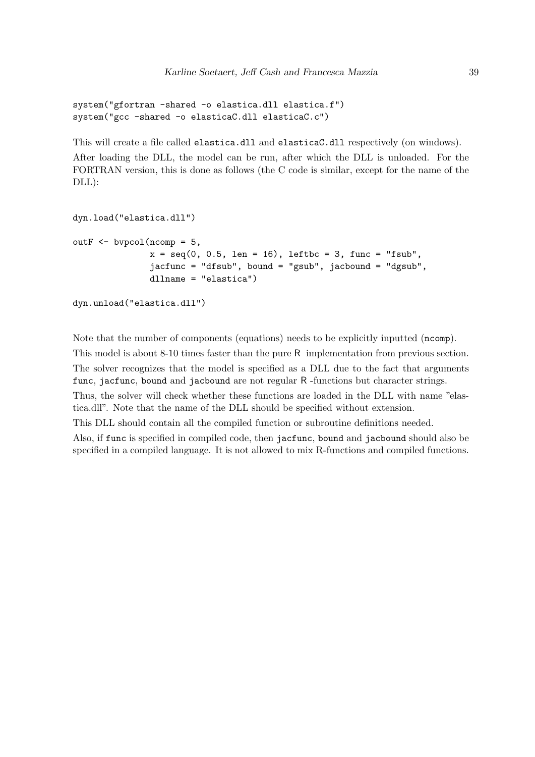```
system("gfortran -shared -o elastica.dll elastica.f")
system("gcc -shared -o elasticaC.dll elasticaC.c")
```
This will create a file called elastica.dll and elasticaC.dll respectively (on windows).

After loading the DLL, the model can be run, after which the DLL is unloaded. For the FORTRAN version, this is done as follows (the C code is similar, except for the name of the DLL):

```
dyn.load("elastica.dll")
outF \leq bypcol(ncomp = 5,
                x = \text{seq}(0, 0.5, \text{len} = 16), leftbc = 3, func = "fsub",
                jacfunc = "dfsub", bound = "gsub", jacbound = "dgsub",
                dllname = "elastica")
```

```
dyn.unload("elastica.dll")
```
Note that the number of components (equations) needs to be explicitly inputted (ncomp).

This model is about 8-10 times faster than the pure R implementation from previous section. The solver recognizes that the model is specified as a DLL due to the fact that arguments func, jacfunc, bound and jacbound are not regular R -functions but character strings. Thus, the solver will check whether these functions are loaded in the DLL with name "elastica.dll". Note that the name of the DLL should be specified without extension.

This DLL should contain all the compiled function or subroutine definitions needed.

Also, if func is specified in compiled code, then jacfunc, bound and jacbound should also be specified in a compiled language. It is not allowed to mix R-functions and compiled functions.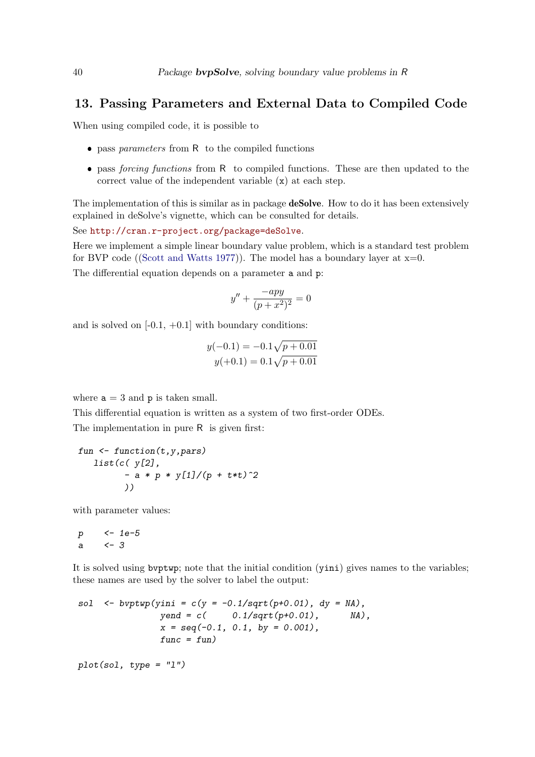### 13. Passing Parameters and External Data to Compiled Code

When using compiled code, it is possible to

- $\bullet$  pass parameters from R to the compiled functions
- pass forcing functions from R to compiled functions. These are then updated to the correct value of the independent variable (x) at each step.

The implementation of this is similar as in package **deSolve**. How to do it has been extensively explained in deSolve's vignette, which can be consulted for details.

See <http://cran.r-project.org/package=deSolve>.

Here we implement a simple linear boundary value problem, which is a standard test problem for BVP code ([\(Scott and Watts 1977\)](#page-44-11)). The model has a boundary layer at  $x=0$ .

The differential equation depends on a parameter a and p:

$$
y'' + \frac{-apy}{(p + x^2)^2} = 0
$$

and is solved on  $[-0.1, +0.1]$  with boundary conditions:

$$
y(-0.1) = -0.1\sqrt{p + 0.01}
$$
  

$$
y(+0.1) = 0.1\sqrt{p + 0.01}
$$

where  $a = 3$  and  $p$  is taken small.

This differential equation is written as a system of two first-order ODEs. The implementation in pure R is given first:

```
fun <- function(t,y,pars)
  list(c( y[2],
         - a * p * y[1]/(p + t*t)^2
         ))
```
with parameter values:

$$
\begin{array}{ccc}\np & \leftarrow & 1e-5 \\
a & \leftarrow & 3\n\end{array}
$$

It is solved using bvptwp; note that the initial condition (yini) gives names to the variables; these names are used by the solver to label the output:

sol 
$$
\leftarrow
$$
 bvptwp(jini = c(y = -0.1/sqrt(p+0.01), dy = NA),  
\nyend = c( 0.1/sqrt(p+0.01), MA),  
\nx = seq(-0.1, 0.1, by = 0.001),  
\nfunc = fun)

*plot(sol, type = "l")*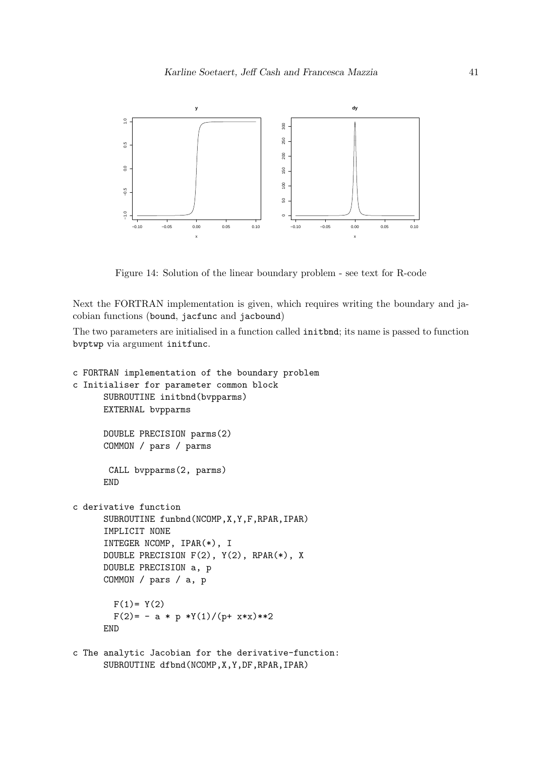

Figure 14: Solution of the linear boundary problem - see text for R-code

Next the FORTRAN implementation is given, which requires writing the boundary and jacobian functions (bound, jacfunc and jacbound)

The two parameters are initialised in a function called initbnd; its name is passed to function bvptwp via argument initfunc.

```
c FORTRAN implementation of the boundary problem
c Initialiser for parameter common block
      SUBROUTINE initbnd(bvpparms)
      EXTERNAL bvpparms
      DOUBLE PRECISION parms(2)
      COMMON / pars / parms
      CALL bvpparms(2, parms)
      END
c derivative function
      SUBROUTINE funbnd(NCOMP,X,Y,F,RPAR,IPAR)
      IMPLICIT NONE
      INTEGER NCOMP, IPAR(*), I
      DOUBLE PRECISION F(2), Y(2), RPAR(*), X
      DOUBLE PRECISION a, p
      COMMON / pars / a, p
       F(1) = Y(2)F(2) = -a * p *Y(1)/(p+ x*x) *2END
```
c The analytic Jacobian for the derivative-function: SUBROUTINE dfbnd(NCOMP,X,Y,DF,RPAR,IPAR)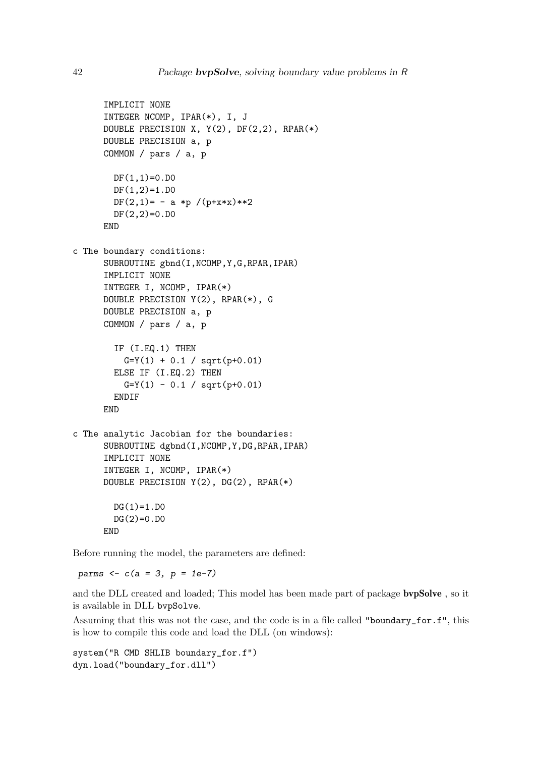```
IMPLICIT NONE
      INTEGER NCOMP, IPAR(*), I, J
     DOUBLE PRECISION X, Y(2), DF(2,2), RPAR(*)
      DOUBLE PRECISION a, p
      COMMON / pars / a, p
       DF(1,1)=0.DO
       DF(1,2)=1.D0
       DF(2,1)= - a *p /(p+x*x)**2
       DF(2,2)=0.DO
      END
c The boundary conditions:
     SUBROUTINE gbnd(I,NCOMP,Y,G,RPAR,IPAR)
      IMPLICIT NONE
      INTEGER I, NCOMP, IPAR(*)
     DOUBLE PRECISION Y(2), RPAR(*), G
      DOUBLE PRECISION a, p
      COMMON / pars / a, p
        IF (I.EQ.1) THEN
         G=Y(1) + 0.1 / Sart(p+0.01)ELSE IF (I.EQ.2) THEN
         G=Y(1) - 0.1 / sqrt(p+0.01)ENDIF
      END
c The analytic Jacobian for the boundaries:
      SUBROUTINE dgbnd(I,NCOMP,Y,DG,RPAR,IPAR)
      IMPLICIT NONE
      INTEGER I, NCOMP, IPAR(*)
      DOUBLE PRECISION Y(2), DG(2), RPAR(*)
       DG(1)=1.D0DG(2)=0.DO
      END
```
Before running the model, the parameters are defined:

*parms <- c(a = 3, p = 1e-7)*

and the DLL created and loaded; This model has been made part of package bvpSolve , so it is available in DLL bvpSolve.

Assuming that this was not the case, and the code is in a file called "boundary\_for.f", this is how to compile this code and load the DLL (on windows):

```
system("R CMD SHLIB boundary_for.f")
dyn.load("boundary_for.dll")
```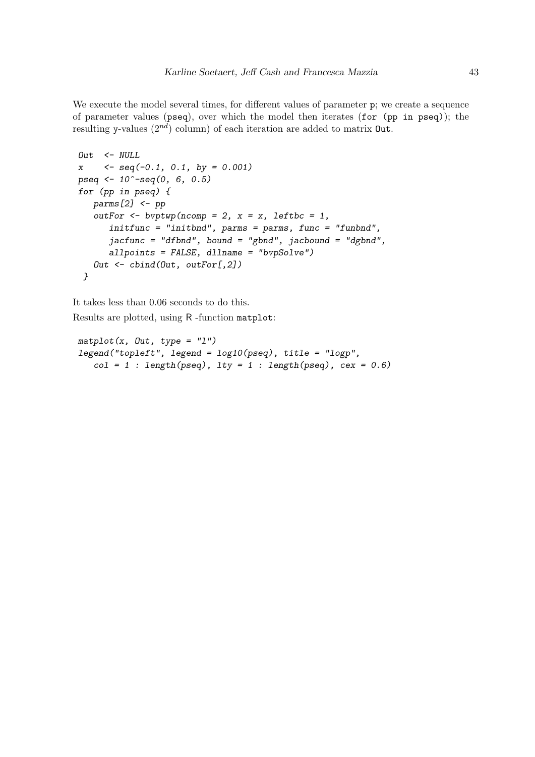We execute the model several times, for different values of parameter p; we create a sequence of parameter values (pseq), over which the model then iterates (for (pp in pseq)); the resulting y-values  $(2^{nd})$  column) of each iteration are added to matrix **Out**.

```
Out <- NULL
x <- seq(-0.1, 0.1, by = 0.001)
pseq <- 10^-seq(0, 6, 0.5)
for (pp in pseq) {
  parms[2] <- pp
   outFor <- bvptwp(ncomp = 2, x = x, leftbc = 1,
      initfunc = "initbnd", parms = parms, func = "funbnd",
      jacfunc = "dfbnd", bound = "gbnd", jacbound = "dgbnd",
      allpoints = FALSE, dllname = "bvpSolve")
   Out <- cbind(Out, outFor[,2])
 }
```
It takes less than 0.06 seconds to do this. Results are plotted, using R -function matplot:

```
matplot(x, Out, type = "l")
legend("topleft", legend = log10(pseq), title = "logp",
   col = 1 : length(pseq), lty = 1 : length(pseq), cex = 0.6)
```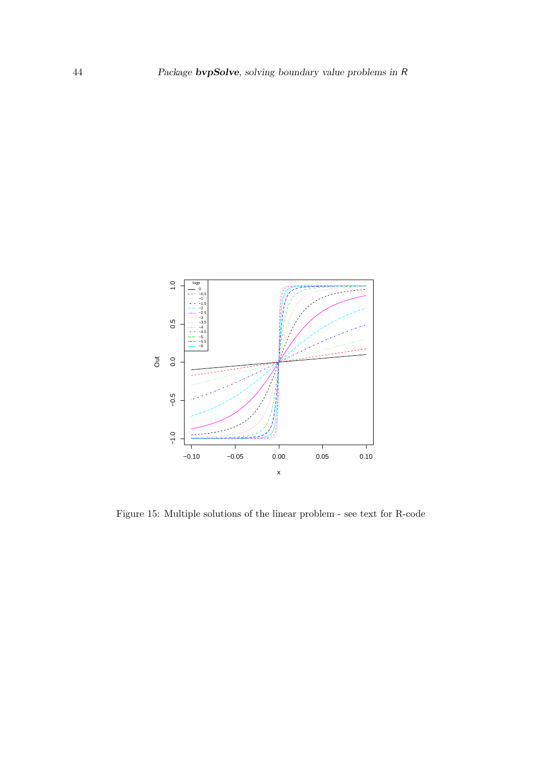

Figure 15: Multiple solutions of the linear problem - see text for R-code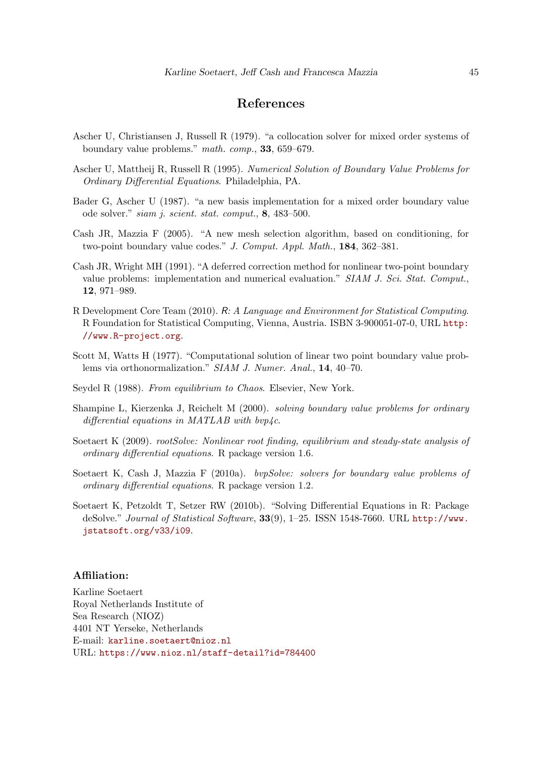### References

- <span id="page-44-7"></span>Ascher U, Christiansen J, Russell R (1979). "a collocation solver for mixed order systems of boundary value problems." math. comp., 33, 659–679.
- <span id="page-44-8"></span>Ascher U, Mattheij R, Russell R (1995). Numerical Solution of Boundary Value Problems for Ordinary Differential Equations. Philadelphia, PA.
- <span id="page-44-6"></span>Bader G, Ascher U (1987). "a new basis implementation for a mixed order boundary value ode solver." siam j. scient. stat. comput., 8, 483–500.
- <span id="page-44-5"></span>Cash JR, Mazzia F (2005). "A new mesh selection algorithm, based on conditioning, for two-point boundary value codes." J. Comput. Appl. Math., 184, 362–381.
- <span id="page-44-4"></span>Cash JR, Wright MH (1991). "A deferred correction method for nonlinear two-point boundary value problems: implementation and numerical evaluation." SIAM J. Sci. Stat. Comput., 12, 971–989.
- <span id="page-44-1"></span>R Development Core Team (2010). R: A Language and Environment for Statistical Computing. R Foundation for Statistical Computing, Vienna, Austria. ISBN 3-900051-07-0, URL [http:](http://www.R-project.org) [//www.R-project.org](http://www.R-project.org).
- <span id="page-44-11"></span>Scott M, Watts H (1977). "Computational solution of linear two point boundary value problems via orthonormalization." SIAM J. Numer. Anal., 14, 40-70.
- <span id="page-44-10"></span>Seydel R (1988). From equilibrium to Chaos. Elsevier, New York.
- <span id="page-44-9"></span>Shampine L, Kierzenka J, Reichelt M (2000). solving boundary value problems for ordinary differential equations in MATLAB with bvp $\angle$ c.
- <span id="page-44-3"></span>Soetaert K (2009). rootSolve: Nonlinear root finding, equilibrium and steady-state analysis of ordinary differential equations. R package version 1.6.
- <span id="page-44-0"></span>Soetaert K, Cash J, Mazzia F (2010a). bvpSolve: solvers for boundary value problems of ordinary differential equations. R package version 1.2.
- <span id="page-44-2"></span>Soetaert K, Petzoldt T, Setzer RW (2010b). "Solving Differential Equations in R: Package deSolve." Journal of Statistical Software, 33(9), 1–25. ISSN 1548-7660. URL [http://www.](http://www.jstatsoft.org/v33/i09) [jstatsoft.org/v33/i09](http://www.jstatsoft.org/v33/i09).

#### Affiliation:

Karline Soetaert Royal Netherlands Institute of Sea Research (NIOZ) 4401 NT Yerseke, Netherlands E-mail: [karline.soetaert@nioz.nl](mailto:karline.soetaert@nioz.nl) URL: <https://www.nioz.nl/staff-detail?id=784400>